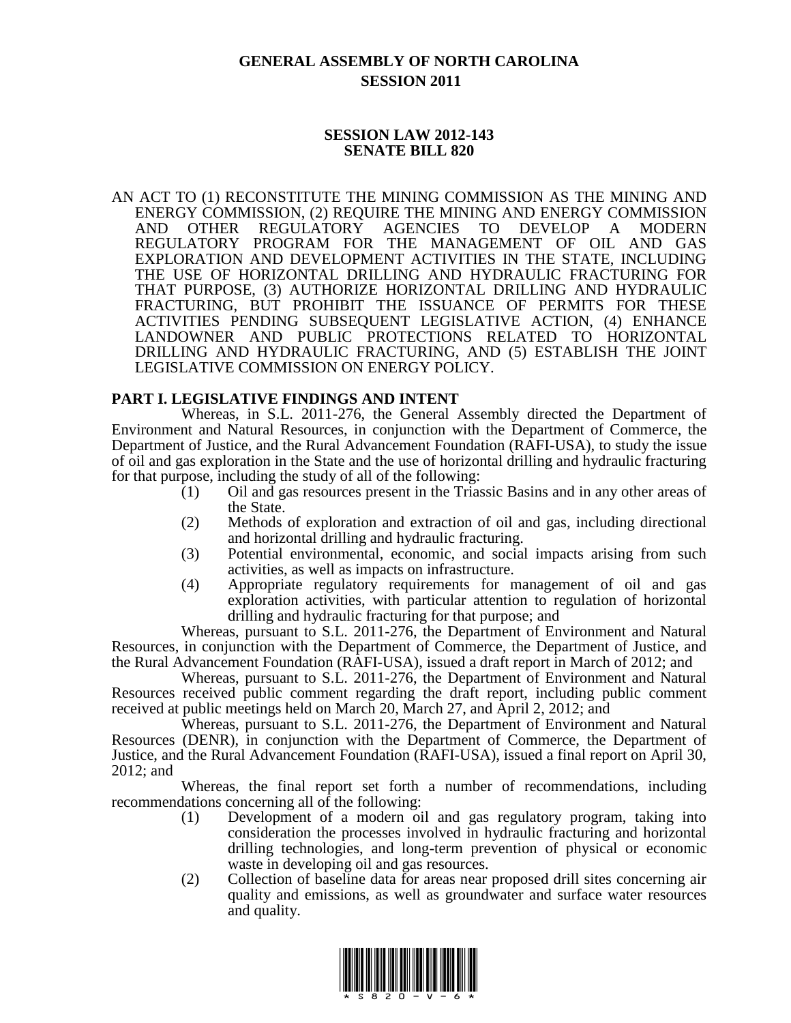# **GENERAL ASSEMBLY OF NORTH CAROLINA SESSION 2011**

### **SESSION LAW 2012-143 SENATE BILL 820**

AN ACT TO (1) RECONSTITUTE THE MINING COMMISSION AS THE MINING AND ENERGY COMMISSION, (2) REQUIRE THE MINING AND ENERGY COMMISSION AND OTHER REGULATORY AGENCIES TO DEVELOP A MODERN REGULATORY PROGRAM FOR THE MANAGEMENT OF OIL AND GAS EXPLORATION AND DEVELOPMENT ACTIVITIES IN THE STATE, INCLUDING THE USE OF HORIZONTAL DRILLING AND HYDRAULIC FRACTURING FOR THAT PURPOSE, (3) AUTHORIZE HORIZONTAL DRILLING AND HYDRAULIC FRACTURING, BUT PROHIBIT THE ISSUANCE OF PERMITS FOR THESE ACTIVITIES PENDING SUBSEQUENT LEGISLATIVE ACTION, (4) ENHANCE LANDOWNER AND PUBLIC PROTECTIONS RELATED TO HORIZONTAL DRILLING AND HYDRAULIC FRACTURING, AND (5) ESTABLISH THE JOINT LEGISLATIVE COMMISSION ON ENERGY POLICY.

### **PART I. LEGISLATIVE FINDINGS AND INTENT**

Whereas, in S.L. 2011-276, the General Assembly directed the Department of Environment and Natural Resources, in conjunction with the Department of Commerce, the Department of Justice, and the Rural Advancement Foundation (RAFI-USA), to study the issue of oil and gas exploration in the State and the use of horizontal drilling and hydraulic fracturing for that purpose, including the study of all of the following:

- (1) Oil and gas resources present in the Triassic Basins and in any other areas of the State.
- (2) Methods of exploration and extraction of oil and gas, including directional and horizontal drilling and hydraulic fracturing.
- (3) Potential environmental, economic, and social impacts arising from such activities, as well as impacts on infrastructure.
- (4) Appropriate regulatory requirements for management of oil and gas exploration activities, with particular attention to regulation of horizontal drilling and hydraulic fracturing for that purpose; and

Whereas, pursuant to S.L. 2011-276, the Department of Environment and Natural Resources, in conjunction with the Department of Commerce, the Department of Justice, and the Rural Advancement Foundation (RAFI-USA), issued a draft report in March of 2012; and

Whereas, pursuant to S.L. 2011-276, the Department of Environment and Natural Resources received public comment regarding the draft report, including public comment received at public meetings held on March 20, March 27, and April 2, 2012; and

Whereas, pursuant to S.L. 2011-276, the Department of Environment and Natural Resources (DENR), in conjunction with the Department of Commerce, the Department of Justice, and the Rural Advancement Foundation (RAFI-USA), issued a final report on April 30, 2012; and

Whereas, the final report set forth a number of recommendations, including recommendations concerning all of the following:

- (1) Development of a modern oil and gas regulatory program, taking into consideration the processes involved in hydraulic fracturing and horizontal drilling technologies, and long-term prevention of physical or economic waste in developing oil and gas resources.
- (2) Collection of baseline data for areas near proposed drill sites concerning air quality and emissions, as well as groundwater and surface water resources and quality.

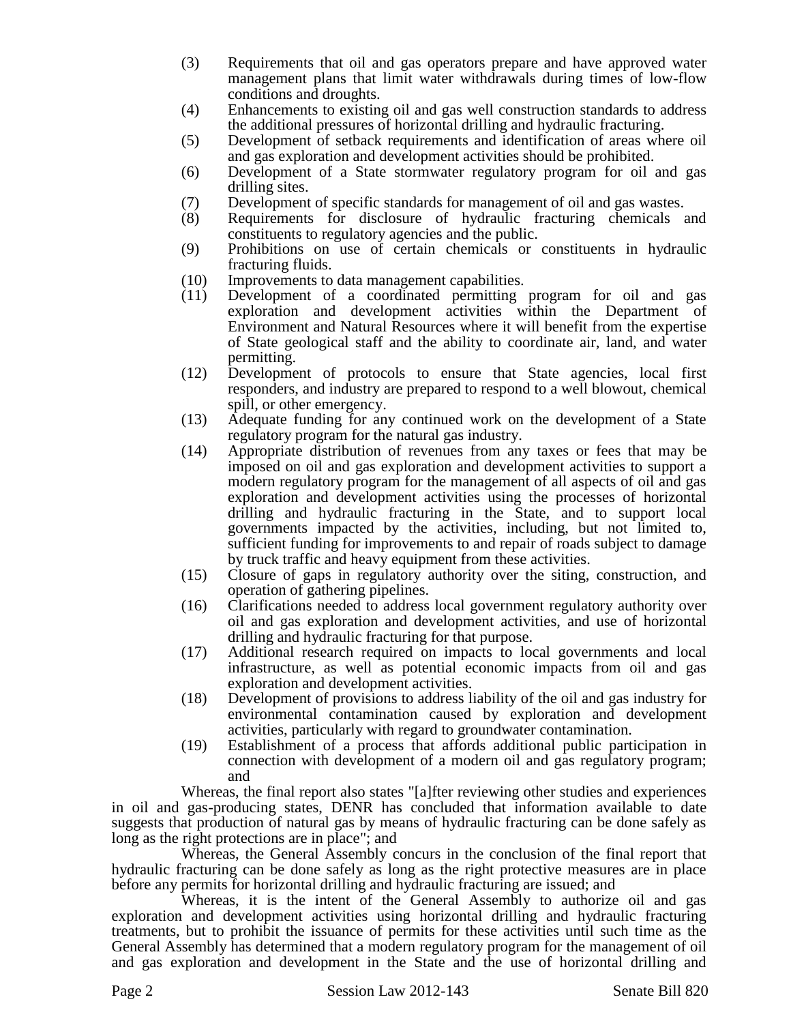- (3) Requirements that oil and gas operators prepare and have approved water management plans that limit water withdrawals during times of low-flow conditions and droughts.
- (4) Enhancements to existing oil and gas well construction standards to address the additional pressures of horizontal drilling and hydraulic fracturing.
- (5) Development of setback requirements and identification of areas where oil and gas exploration and development activities should be prohibited.
- (6) Development of a State stormwater regulatory program for oil and gas drilling sites.
- (7) Development of specific standards for management of oil and gas wastes.
- (8) Requirements for disclosure of hydraulic fracturing chemicals and constituents to regulatory agencies and the public.
- (9) Prohibitions on use of certain chemicals or constituents in hydraulic fracturing fluids.
- (10) Improvements to data management capabilities.
- (11) Development of a coordinated permitting program for oil and gas exploration and development activities within the Department of Environment and Natural Resources where it will benefit from the expertise of State geological staff and the ability to coordinate air, land, and water permitting.
- (12) Development of protocols to ensure that State agencies, local first responders, and industry are prepared to respond to a well blowout, chemical spill, or other emergency.
- (13) Adequate funding for any continued work on the development of a State regulatory program for the natural gas industry.
- (14) Appropriate distribution of revenues from any taxes or fees that may be imposed on oil and gas exploration and development activities to support a modern regulatory program for the management of all aspects of oil and gas exploration and development activities using the processes of horizontal drilling and hydraulic fracturing in the State, and to support local governments impacted by the activities, including, but not limited to, sufficient funding for improvements to and repair of roads subject to damage by truck traffic and heavy equipment from these activities.
- (15) Closure of gaps in regulatory authority over the siting, construction, and operation of gathering pipelines.
- (16) Clarifications needed to address local government regulatory authority over oil and gas exploration and development activities, and use of horizontal drilling and hydraulic fracturing for that purpose.
- (17) Additional research required on impacts to local governments and local infrastructure, as well as potential economic impacts from oil and gas exploration and development activities.
- (18) Development of provisions to address liability of the oil and gas industry for environmental contamination caused by exploration and development activities, particularly with regard to groundwater contamination.
- (19) Establishment of a process that affords additional public participation in connection with development of a modern oil and gas regulatory program; and

Whereas, the final report also states "[a]fter reviewing other studies and experiences in oil and gas-producing states, DENR has concluded that information available to date suggests that production of natural gas by means of hydraulic fracturing can be done safely as long as the right protections are in place"; and

Whereas, the General Assembly concurs in the conclusion of the final report that hydraulic fracturing can be done safely as long as the right protective measures are in place before any permits for horizontal drilling and hydraulic fracturing are issued; and

Whereas, it is the intent of the General Assembly to authorize oil and gas exploration and development activities using horizontal drilling and hydraulic fracturing treatments, but to prohibit the issuance of permits for these activities until such time as the General Assembly has determined that a modern regulatory program for the management of oil and gas exploration and development in the State and the use of horizontal drilling and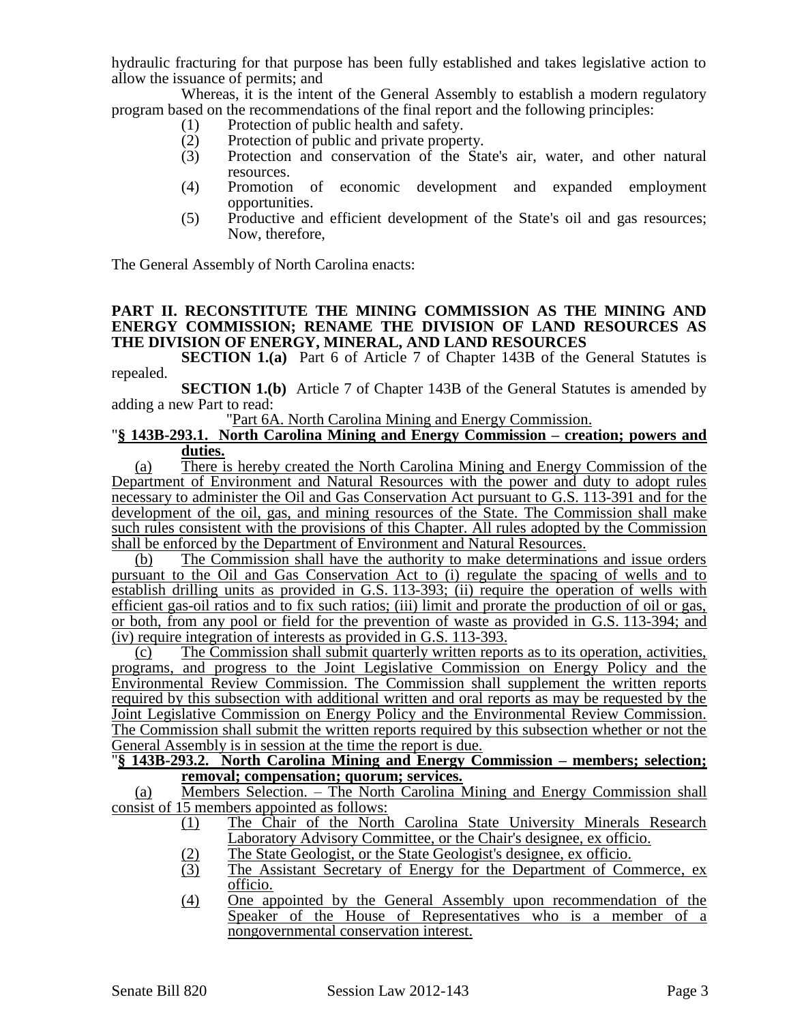hydraulic fracturing for that purpose has been fully established and takes legislative action to allow the issuance of permits; and

Whereas, it is the intent of the General Assembly to establish a modern regulatory program based on the recommendations of the final report and the following principles:

- (1) Protection of public health and safety.
- (2) Protection of public and private property.<br>
(3) Protection and conservation of the Sta
- Protection and conservation of the State's air, water, and other natural resources.
- (4) Promotion of economic development and expanded employment opportunities.
- (5) Productive and efficient development of the State's oil and gas resources; Now, therefore,

The General Assembly of North Carolina enacts:

### **PART II. RECONSTITUTE THE MINING COMMISSION AS THE MINING AND ENERGY COMMISSION; RENAME THE DIVISION OF LAND RESOURCES AS THE DIVISION OF ENERGY, MINERAL, AND LAND RESOURCES**

**SECTION 1.(a)** Part 6 of Article 7 of Chapter 143B of the General Statutes is repealed.

**SECTION 1.(b)** Article 7 of Chapter 143B of the General Statutes is amended by adding a new Part to read:

"Part 6A. North Carolina Mining and Energy Commission.

#### "**§ 143B-293.1. North Carolina Mining and Energy Commission – creation; powers and duties.**

(a) There is hereby created the North Carolina Mining and Energy Commission of the Department of Environment and Natural Resources with the power and duty to adopt rules necessary to administer the Oil and Gas Conservation Act pursuant to G.S. 113-391 and for the development of the oil, gas, and mining resources of the State. The Commission shall make such rules consistent with the provisions of this Chapter. All rules adopted by the Commission shall be enforced by the Department of Environment and Natural Resources.

(b) The Commission shall have the authority to make determinations and issue orders pursuant to the Oil and Gas Conservation Act to (i) regulate the spacing of wells and to establish drilling units as provided in G.S. 113-393; (ii) require the operation of wells with efficient gas-oil ratios and to fix such ratios; (iii) limit and prorate the production of oil or gas, or both, from any pool or field for the prevention of waste as provided in G.S. 113-394; and (iv) require integration of interests as provided in G.S. 113-393.

(c) The Commission shall submit quarterly written reports as to its operation, activities, programs, and progress to the Joint Legislative Commission on Energy Policy and the Environmental Review Commission. The Commission shall supplement the written reports required by this subsection with additional written and oral reports as may be requested by the Joint Legislative Commission on Energy Policy and the Environmental Review Commission. The Commission shall submit the written reports required by this subsection whether or not the General Assembly is in session at the time the report is due.

#### "**§ 143B-293.2. North Carolina Mining and Energy Commission – members; selection; removal; compensation; quorum; services.**

(a) Members Selection. – The North Carolina Mining and Energy Commission shall consist of 15 members appointed as follows:

- (1) The Chair of the North Carolina State University Minerals Research Laboratory Advisory Committee, or the Chair's designee, ex officio.
- (2) The State Geologist, or the State Geologist's designee, ex officio.
- (3) The Assistant Secretary of Energy for the Department of Commerce, ex officio.
- (4) One appointed by the General Assembly upon recommendation of the Speaker of the House of Representatives who is a member of a nongovernmental conservation interest.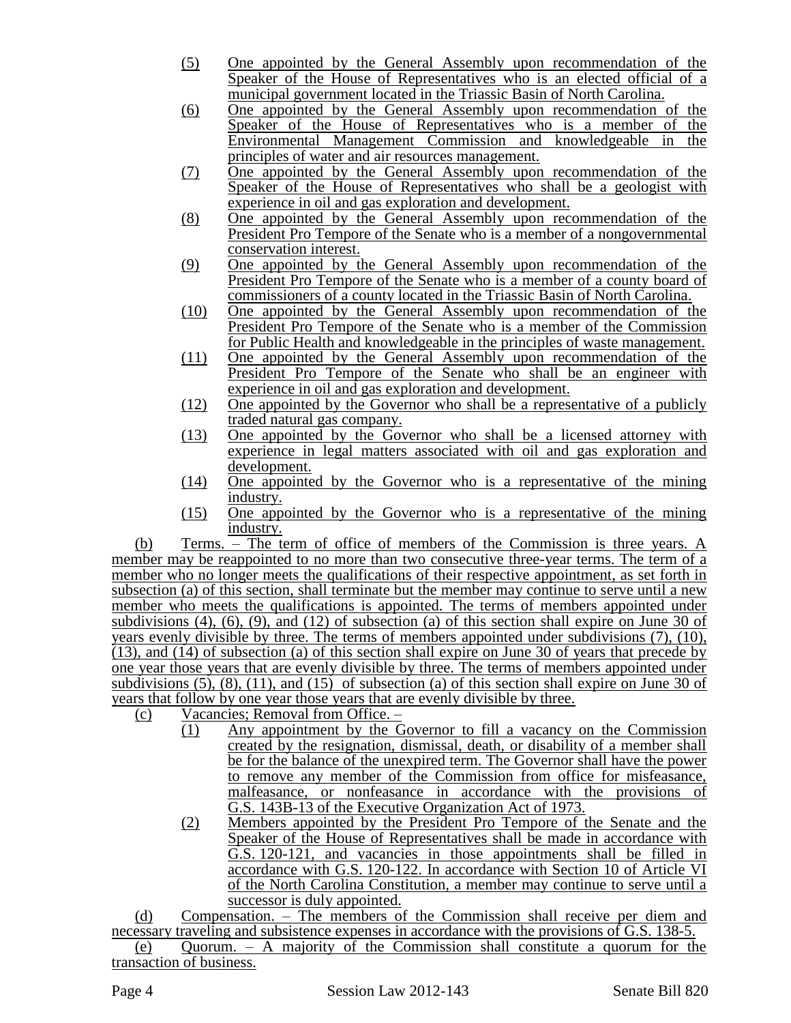- (5) One appointed by the General Assembly upon recommendation of the Speaker of the House of Representatives who is an elected official of a municipal government located in the Triassic Basin of North Carolina.
- (6) One appointed by the General Assembly upon recommendation of the Speaker of the House of Representatives who is a member of the Environmental Management Commission and knowledgeable in the principles of water and air resources management.
- (7) One appointed by the General Assembly upon recommendation of the Speaker of the House of Representatives who shall be a geologist with experience in oil and gas exploration and development.
- (8) One appointed by the General Assembly upon recommendation of the President Pro Tempore of the Senate who is a member of a nongovernmental conservation interest.
- (9) One appointed by the General Assembly upon recommendation of the President Pro Tempore of the Senate who is a member of a county board of commissioners of a county located in the Triassic Basin of North Carolina.
- (10) One appointed by the General Assembly upon recommendation of the President Pro Tempore of the Senate who is a member of the Commission for Public Health and knowledgeable in the principles of waste management.
- (11) One appointed by the General Assembly upon recommendation of the President Pro Tempore of the Senate who shall be an engineer with experience in oil and gas exploration and development.
- (12) One appointed by the Governor who shall be a representative of a publicly traded natural gas company.
- (13) One appointed by the Governor who shall be a licensed attorney with experience in legal matters associated with oil and gas exploration and development.
- (14) One appointed by the Governor who is a representative of the mining industry.
- (15) One appointed by the Governor who is a representative of the mining industry.

(b) Terms. – The term of office of members of the Commission is three years. A member may be reappointed to no more than two consecutive three-year terms. The term of a member who no longer meets the qualifications of their respective appointment, as set forth in subsection (a) of this section, shall terminate but the member may continue to serve until a new member who meets the qualifications is appointed. The terms of members appointed under subdivisions (4), (6), (9), and (12) of subsection (a) of this section shall expire on June 30 of years evenly divisible by three. The terms of members appointed under subdivisions (7), (10), (13), and (14) of subsection (a) of this section shall expire on June 30 of years that precede by one year those years that are evenly divisible by three. The terms of members appointed under subdivisions (5), (8), (11), and (15) of subsection (a) of this section shall expire on June 30 of years that follow by one year those years that are evenly divisible by three.

- (c) Vacancies; Removal from Office.
	- $\overline{(1)}$  Any appointment by the Governor to fill a vacancy on the Commission created by the resignation, dismissal, death, or disability of a member shall be for the balance of the unexpired term. The Governor shall have the power to remove any member of the Commission from office for misfeasance, malfeasance, or nonfeasance in accordance with the provisions of G.S. 143B-13 of the Executive Organization Act of 1973.
	- (2) Members appointed by the President Pro Tempore of the Senate and the Speaker of the House of Representatives shall be made in accordance with G.S. 120-121, and vacancies in those appointments shall be filled in accordance with G.S. 120-122. In accordance with Section 10 of Article VI of the North Carolina Constitution, a member may continue to serve until a successor is duly appointed.

(d) Compensation. – The members of the Commission shall receive per diem and necessary traveling and subsistence expenses in accordance with the provisions of G.S. 138-5.

(e) Quorum. – A majority of the Commission shall constitute a quorum for the transaction of business.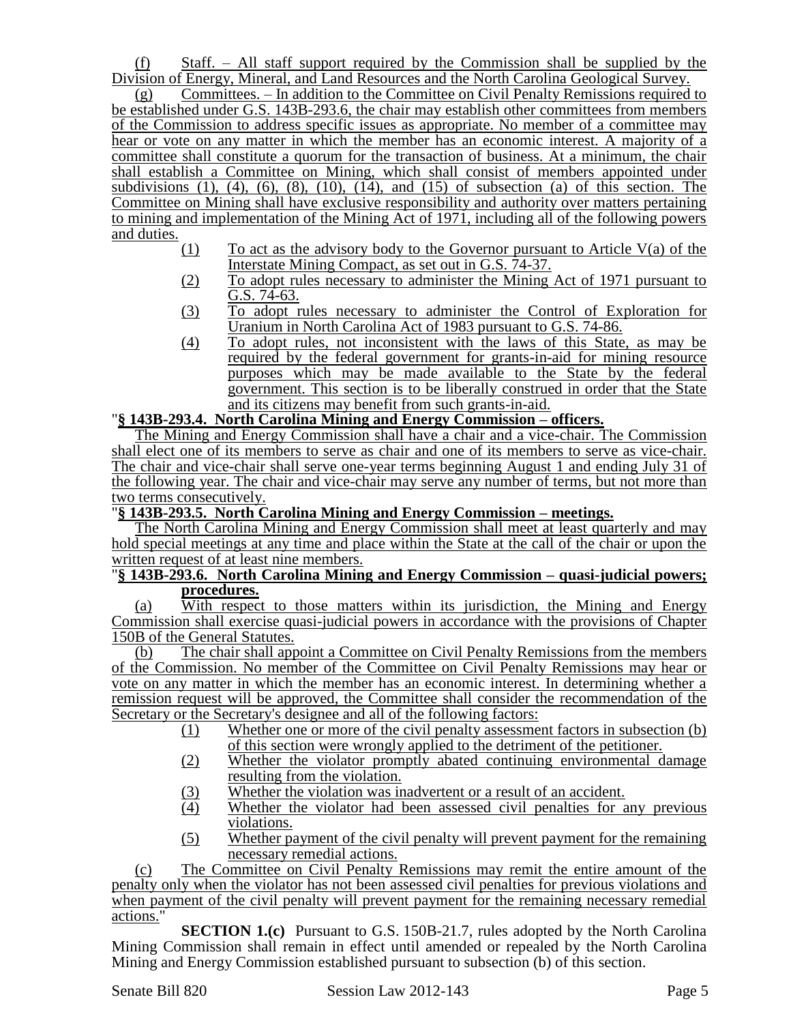(f) Staff. – All staff support required by the Commission shall be supplied by the Division of Energy, Mineral, and Land Resources and the North Carolina Geological Survey.

(g) Committees. – In addition to the Committee on Civil Penalty Remissions required to be established under G.S. 143B-293.6, the chair may establish other committees from members of the Commission to address specific issues as appropriate. No member of a committee may hear or vote on any matter in which the member has an economic interest. A majority of a committee shall constitute a quorum for the transaction of business. At a minimum, the chair shall establish a Committee on Mining, which shall consist of members appointed under subdivisions  $(1)$ ,  $(4)$ ,  $(6)$ ,  $(8)$ ,  $(10)$ ,  $(14)$ , and  $(15)$  of subsection  $(a)$  of this section. The Committee on Mining shall have exclusive responsibility and authority over matters pertaining to mining and implementation of the Mining Act of 1971, including all of the following powers and duties.

- (1) To act as the advisory body to the Governor pursuant to Article  $V(a)$  of the Interstate Mining Compact, as set out in G.S. 74-37.
- (2) To adopt rules necessary to administer the Mining Act of 1971 pursuant to G.S. 74-63.
- (3) To adopt rules necessary to administer the Control of Exploration for Uranium in North Carolina Act of 1983 pursuant to G.S. 74-86.
- (4) To adopt rules, not inconsistent with the laws of this State, as may be required by the federal government for grants-in-aid for mining resource purposes which may be made available to the State by the federal government. This section is to be liberally construed in order that the State and its citizens may benefit from such grants-in-aid.

### "**§ 143B-293.4. North Carolina Mining and Energy Commission – officers.**

The Mining and Energy Commission shall have a chair and a vice-chair. The Commission shall elect one of its members to serve as chair and one of its members to serve as vice-chair. The chair and vice-chair shall serve one-year terms beginning August 1 and ending July 31 of the following year. The chair and vice-chair may serve any number of terms, but not more than two terms consecutively.

### "**§ 143B-293.5. North Carolina Mining and Energy Commission – meetings.**

The North Carolina Mining and Energy Commission shall meet at least quarterly and may hold special meetings at any time and place within the State at the call of the chair or upon the written request of at least nine members.

### "**§ 143B-293.6. North Carolina Mining and Energy Commission – quasi-judicial powers; procedures.**

(a) With respect to those matters within its jurisdiction, the Mining and Energy Commission shall exercise quasi-judicial powers in accordance with the provisions of Chapter 150B of the General Statutes.

(b) The chair shall appoint a Committee on Civil Penalty Remissions from the members of the Commission. No member of the Committee on Civil Penalty Remissions may hear or vote on any matter in which the member has an economic interest. In determining whether a remission request will be approved, the Committee shall consider the recommendation of the Secretary or the Secretary's designee and all of the following factors:

- (1) Whether one or more of the civil penalty assessment factors in subsection (b)
	- of this section were wrongly applied to the detriment of the petitioner.
- (2) Whether the violator promptly abated continuing environmental damage resulting from the violation.
- (3) Whether the violation was inadvertent or a result of an accident.
- (4) Whether the violator had been assessed civil penalties for any previous violations.
- (5) Whether payment of the civil penalty will prevent payment for the remaining necessary remedial actions.

(c) The Committee on Civil Penalty Remissions may remit the entire amount of the penalty only when the violator has not been assessed civil penalties for previous violations and when payment of the civil penalty will prevent payment for the remaining necessary remedial actions."

**SECTION 1.(c)** Pursuant to G.S. 150B-21.7, rules adopted by the North Carolina Mining Commission shall remain in effect until amended or repealed by the North Carolina Mining and Energy Commission established pursuant to subsection (b) of this section.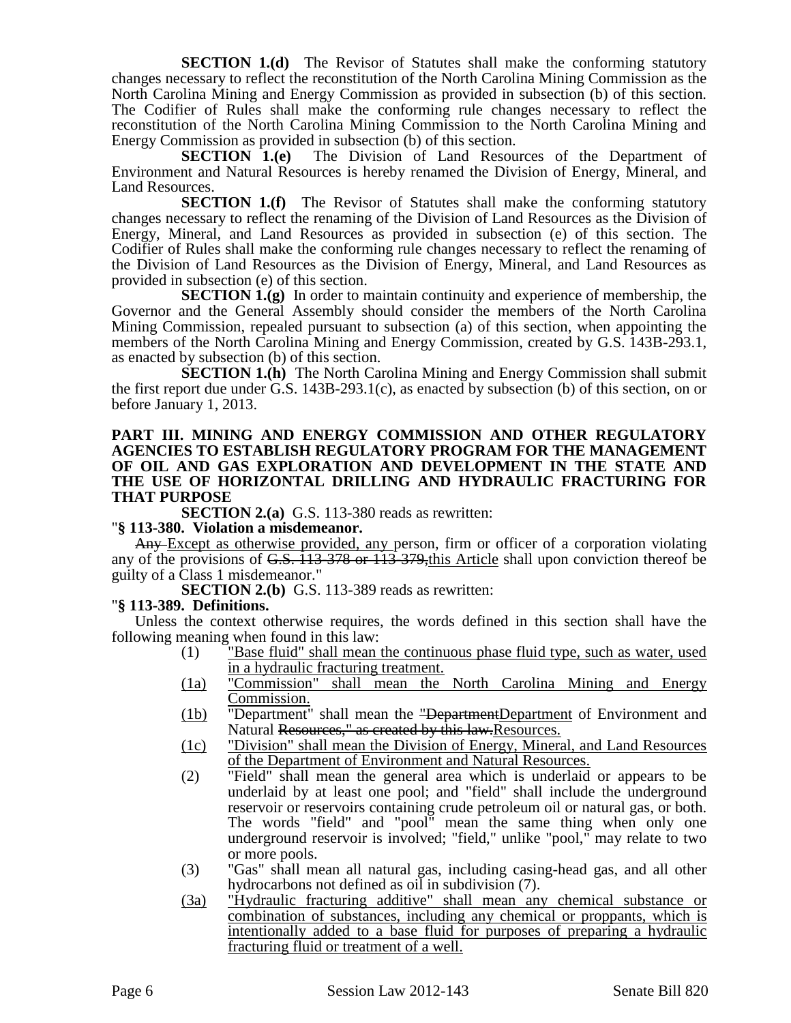**SECTION 1.(d)** The Revisor of Statutes shall make the conforming statutory changes necessary to reflect the reconstitution of the North Carolina Mining Commission as the North Carolina Mining and Energy Commission as provided in subsection (b) of this section. The Codifier of Rules shall make the conforming rule changes necessary to reflect the reconstitution of the North Carolina Mining Commission to the North Carolina Mining and

Energy Commission as provided in subsection (b) of this section.<br>SECTION 1.(e) The Division of Land Resou The Division of Land Resources of the Department of Environment and Natural Resources is hereby renamed the Division of Energy, Mineral, and Land Resources.

**SECTION 1.(f)** The Revisor of Statutes shall make the conforming statutory changes necessary to reflect the renaming of the Division of Land Resources as the Division of Energy, Mineral, and Land Resources as provided in subsection (e) of this section. The Codifier of Rules shall make the conforming rule changes necessary to reflect the renaming of the Division of Land Resources as the Division of Energy, Mineral, and Land Resources as provided in subsection (e) of this section.

**SECTION 1.(g)** In order to maintain continuity and experience of membership, the Governor and the General Assembly should consider the members of the North Carolina Mining Commission, repealed pursuant to subsection (a) of this section, when appointing the members of the North Carolina Mining and Energy Commission, created by G.S. 143B-293.1, as enacted by subsection (b) of this section.

**SECTION 1.(h)** The North Carolina Mining and Energy Commission shall submit the first report due under G.S. 143B-293.1(c), as enacted by subsection (b) of this section, on or before January 1, 2013.

### **PART III. MINING AND ENERGY COMMISSION AND OTHER REGULATORY AGENCIES TO ESTABLISH REGULATORY PROGRAM FOR THE MANAGEMENT OF OIL AND GAS EXPLORATION AND DEVELOPMENT IN THE STATE AND THE USE OF HORIZONTAL DRILLING AND HYDRAULIC FRACTURING FOR THAT PURPOSE**

**SECTION 2.(a)** G.S. 113-380 reads as rewritten:

### "**§ 113-380. Violation a misdemeanor.**

Any Except as otherwise provided, any person, firm or officer of a corporation violating any of the provisions of G.S. 113-378 or 113-379,this Article shall upon conviction thereof be guilty of a Class 1 misdemeanor."

**SECTION 2.(b)** G.S. 113-389 reads as rewritten:

### "**§ 113-389. Definitions.**

Unless the context otherwise requires, the words defined in this section shall have the following meaning when found in this law:

- (1) "Base fluid" shall mean the continuous phase fluid type, such as water, used in a hydraulic fracturing treatment.
- (1a) "Commission" shall mean the North Carolina Mining and Energy Commission.
- (1b) "Department" shall mean the "DepartmentDepartment of Environment and Natural Resources," as created by this law. Resources.
- (1c) "Division" shall mean the Division of Energy, Mineral, and Land Resources of the Department of Environment and Natural Resources.
- (2) "Field" shall mean the general area which is underlaid or appears to be underlaid by at least one pool; and "field" shall include the underground reservoir or reservoirs containing crude petroleum oil or natural gas, or both. The words "field" and "pool" mean the same thing when only one underground reservoir is involved; "field," unlike "pool," may relate to two or more pools.
- (3) "Gas" shall mean all natural gas, including casing-head gas, and all other hydrocarbons not defined as oil in subdivision (7).
- (3a) "Hydraulic fracturing additive" shall mean any chemical substance or combination of substances, including any chemical or proppants, which is intentionally added to a base fluid for purposes of preparing a hydraulic fracturing fluid or treatment of a well.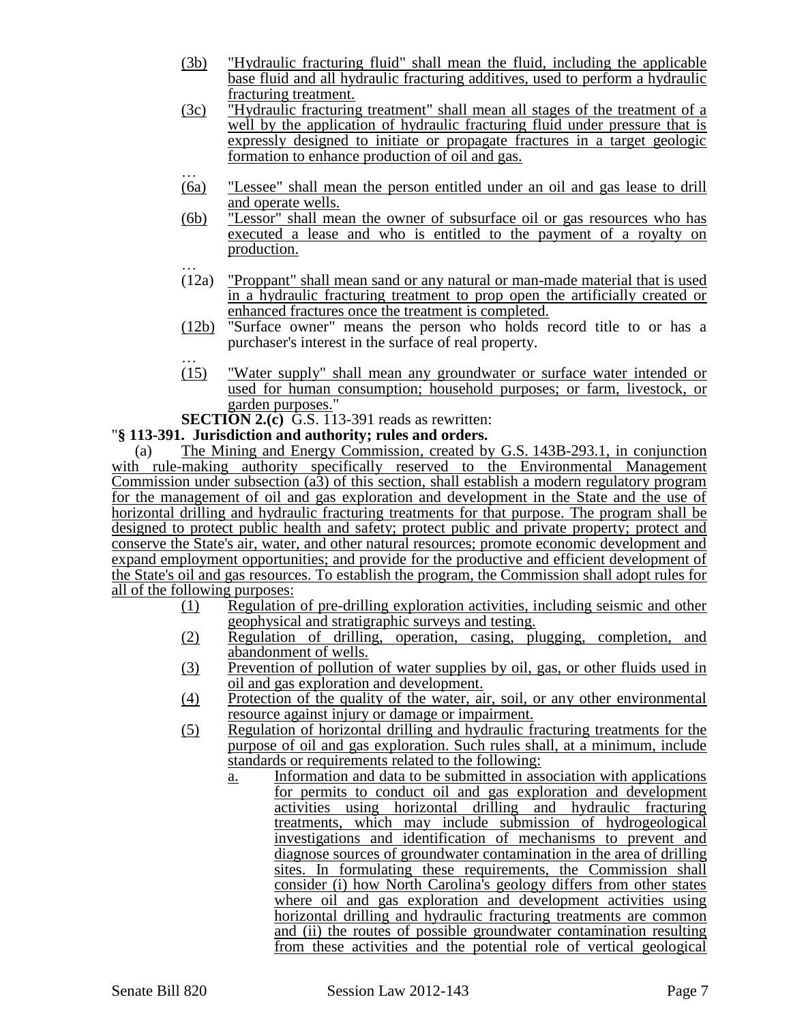- (3b) "Hydraulic fracturing fluid" shall mean the fluid, including the applicable base fluid and all hydraulic fracturing additives, used to perform a hydraulic fracturing treatment.
- (3c) "Hydraulic fracturing treatment" shall mean all stages of the treatment of a well by the application of hydraulic fracturing fluid under pressure that is expressly designed to initiate or propagate fractures in a target geologic formation to enhance production of oil and gas.
- … (6a) "Lessee" shall mean the person entitled under an oil and gas lease to drill and operate wells.
- (6b) "Lessor" shall mean the owner of subsurface oil or gas resources who has executed a lease and who is entitled to the payment of a royalty on production.
- … (12a) "Proppant" shall mean sand or any natural or man-made material that is used in a hydraulic fracturing treatment to prop open the artificially created or enhanced fractures once the treatment is completed.
- (12b) "Surface owner" means the person who holds record title to or has a purchaser's interest in the surface of real property.
- … (15) "Water supply" shall mean any groundwater or surface water intended or used for human consumption; household purposes; or farm, livestock, or garden purposes."

**SECTION 2.(c)** G.S. 113-391 reads as rewritten:

### "**§ 113-391. Jurisdiction and authority; rules and orders.**

(a) The Mining and Energy Commission, created by G.S. 143B-293.1, in conjunction with rule-making authority specifically reserved to the Environmental Management Commission under subsection (a3) of this section, shall establish a modern regulatory program for the management of oil and gas exploration and development in the State and the use of horizontal drilling and hydraulic fracturing treatments for that purpose. The program shall be designed to protect public health and safety; protect public and private property; protect and conserve the State's air, water, and other natural resources; promote economic development and expand employment opportunities; and provide for the productive and efficient development of the State's oil and gas resources. To establish the program, the Commission shall adopt rules for all of the following purposes:

- (1) Regulation of pre-drilling exploration activities, including seismic and other geophysical and stratigraphic surveys and testing.
- (2) Regulation of drilling, operation, casing, plugging, completion, and abandonment of wells.
- (3) Prevention of pollution of water supplies by oil, gas, or other fluids used in oil and gas exploration and development.
- (4) Protection of the quality of the water, air, soil, or any other environmental resource against injury or damage or impairment.
- (5) Regulation of horizontal drilling and hydraulic fracturing treatments for the purpose of oil and gas exploration. Such rules shall, at a minimum, include standards or requirements related to the following:
	- a. Information and data to be submitted in association with applications for permits to conduct oil and gas exploration and development activities using horizontal drilling and hydraulic fracturing treatments, which may include submission of hydrogeological investigations and identification of mechanisms to prevent and diagnose sources of groundwater contamination in the area of drilling sites. In formulating these requirements, the Commission shall consider (i) how North Carolina's geology differs from other states where oil and gas exploration and development activities using horizontal drilling and hydraulic fracturing treatments are common and (ii) the routes of possible groundwater contamination resulting from these activities and the potential role of vertical geological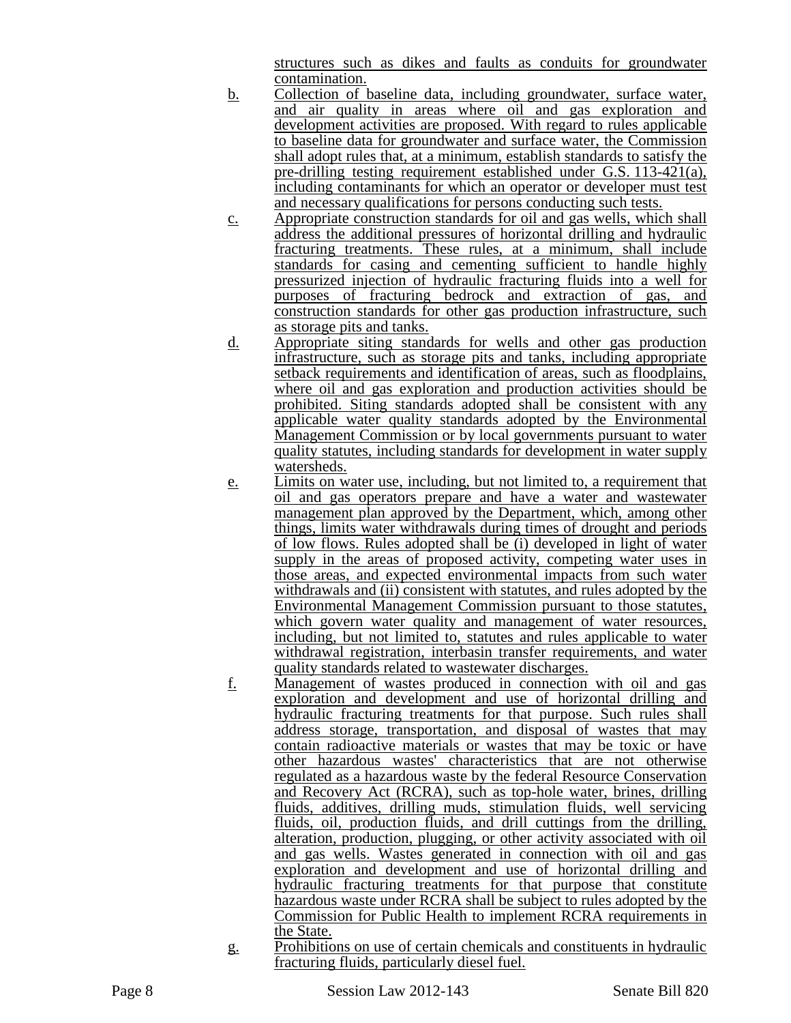structures such as dikes and faults as conduits for groundwater contamination.

- b. Collection of baseline data, including groundwater, surface water, and air quality in areas where oil and gas exploration and development activities are proposed. With regard to rules applicable to baseline data for groundwater and surface water, the Commission shall adopt rules that, at a minimum, establish standards to satisfy the pre-drilling testing requirement established under G.S.  $113-421(a)$ , including contaminants for which an operator or developer must test and necessary qualifications for persons conducting such tests.
- c. Appropriate construction standards for oil and gas wells, which shall address the additional pressures of horizontal drilling and hydraulic fracturing treatments. These rules, at a minimum, shall include standards for casing and cementing sufficient to handle highly pressurized injection of hydraulic fracturing fluids into a well for purposes of fracturing bedrock and extraction of gas, and construction standards for other gas production infrastructure, such as storage pits and tanks.
- d. Appropriate siting standards for wells and other gas production infrastructure, such as storage pits and tanks, including appropriate setback requirements and identification of areas, such as floodplains, where oil and gas exploration and production activities should be prohibited. Siting standards adopted shall be consistent with any applicable water quality standards adopted by the Environmental Management Commission or by local governments pursuant to water quality statutes, including standards for development in water supply watersheds.
- e. Limits on water use, including, but not limited to, a requirement that oil and gas operators prepare and have a water and wastewater management plan approved by the Department, which, among other things, limits water withdrawals during times of drought and periods of low flows. Rules adopted shall be (i) developed in light of water supply in the areas of proposed activity, competing water uses in those areas, and expected environmental impacts from such water withdrawals and (ii) consistent with statutes, and rules adopted by the Environmental Management Commission pursuant to those statutes, which govern water quality and management of water resources, including, but not limited to, statutes and rules applicable to water withdrawal registration, interbasin transfer requirements, and water quality standards related to wastewater discharges.
- f. Management of wastes produced in connection with oil and gas exploration and development and use of horizontal drilling and hydraulic fracturing treatments for that purpose. Such rules shall address storage, transportation, and disposal of wastes that may contain radioactive materials or wastes that may be toxic or have other hazardous wastes' characteristics that are not otherwise regulated as a hazardous waste by the federal Resource Conservation and Recovery Act (RCRA), such as top-hole water, brines, drilling fluids, additives, drilling muds, stimulation fluids, well servicing fluids, oil, production fluids, and drill cuttings from the drilling, alteration, production, plugging, or other activity associated with oil and gas wells. Wastes generated in connection with oil and gas exploration and development and use of horizontal drilling and hydraulic fracturing treatments for that purpose that constitute hazardous waste under RCRA shall be subject to rules adopted by the Commission for Public Health to implement RCRA requirements in the State.
- g. Prohibitions on use of certain chemicals and constituents in hydraulic fracturing fluids, particularly diesel fuel.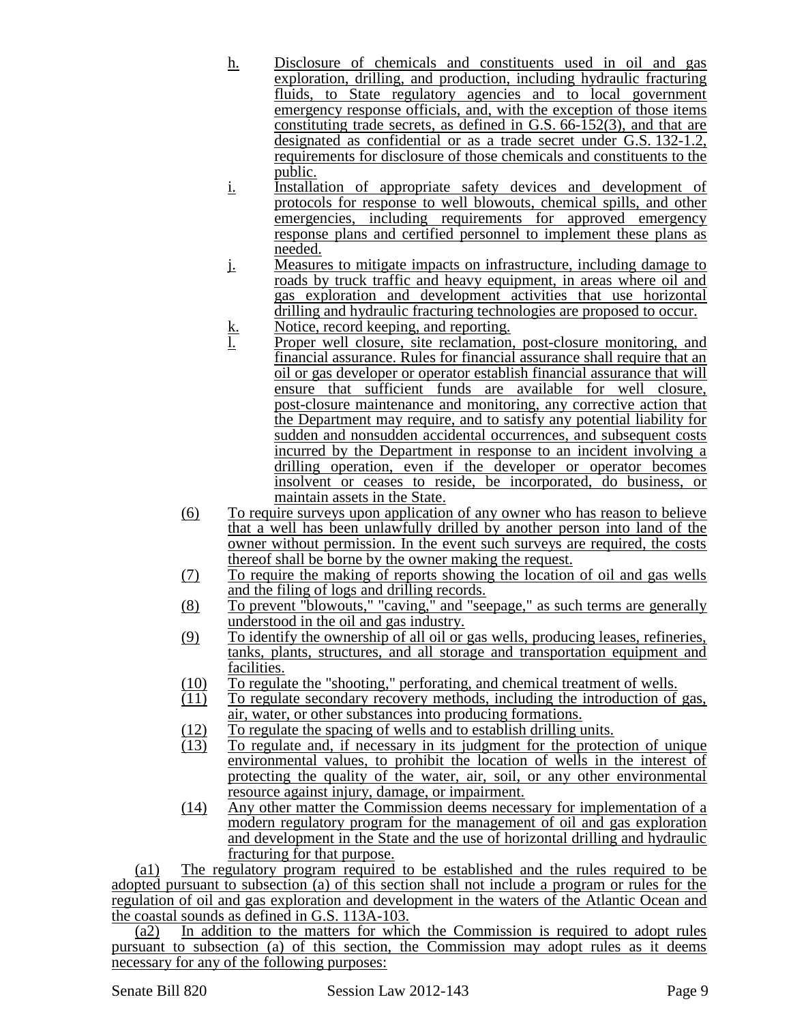- h. Disclosure of chemicals and constituents used in oil and gas exploration, drilling, and production, including hydraulic fracturing fluids, to State regulatory agencies and to local government emergency response officials, and, with the exception of those items constituting trade secrets, as defined in G.S. 66-152(3), and that are designated as confidential or as a trade secret under G.S. 132-1.2, requirements for disclosure of those chemicals and constituents to the public.
- i. Installation of appropriate safety devices and development of protocols for response to well blowouts, chemical spills, and other emergencies, including requirements for approved emergency response plans and certified personnel to implement these plans as needed.
- j. Measures to mitigate impacts on infrastructure, including damage to roads by truck traffic and heavy equipment, in areas where oil and gas exploration and development activities that use horizontal drilling and hydraulic fracturing technologies are proposed to occur.
- k. Notice, record keeping, and reporting.<br>1. Proper well closure, site reclamation,
- Proper well closure, site reclamation, post-closure monitoring, and financial assurance. Rules for financial assurance shall require that an oil or gas developer or operator establish financial assurance that will ensure that sufficient funds are available for well closure, post-closure maintenance and monitoring, any corrective action that the Department may require, and to satisfy any potential liability for sudden and nonsudden accidental occurrences, and subsequent costs incurred by the Department in response to an incident involving a drilling operation, even if the developer or operator becomes insolvent or ceases to reside, be incorporated, do business, or maintain assets in the State.
- (6) To require surveys upon application of any owner who has reason to believe that a well has been unlawfully drilled by another person into land of the owner without permission. In the event such surveys are required, the costs thereof shall be borne by the owner making the request.
- (7) To require the making of reports showing the location of oil and gas wells and the filing of logs and drilling records.
- (8) To prevent "blowouts," "caving," and "seepage," as such terms are generally understood in the oil and gas industry.
- (9) To identify the ownership of all oil or gas wells, producing leases, refineries, tanks, plants, structures, and all storage and transportation equipment and facilities.
- (10) To regulate the "shooting," perforating, and chemical treatment of wells.
- (11) To regulate secondary recovery methods, including the introduction of gas, air, water, or other substances into producing formations.
- $\frac{(12)}{(13)}$  To regulate the spacing of wells and to establish drilling units.<br>(13) To regulate and, if necessary in its judgment for the protect
- To regulate and, if necessary in its judgment for the protection of unique environmental values, to prohibit the location of wells in the interest of protecting the quality of the water, air, soil, or any other environmental resource against injury, damage, or impairment.
- (14) Any other matter the Commission deems necessary for implementation of a modern regulatory program for the management of oil and gas exploration and development in the State and the use of horizontal drilling and hydraulic fracturing for that purpose.

(a1) The regulatory program required to be established and the rules required to be adopted pursuant to subsection (a) of this section shall not include a program or rules for the regulation of oil and gas exploration and development in the waters of the Atlantic Ocean and the coastal sounds as defined in G.S. 113A-103.

(a2) In addition to the matters for which the Commission is required to adopt rules pursuant to subsection (a) of this section, the Commission may adopt rules as it deems necessary for any of the following purposes: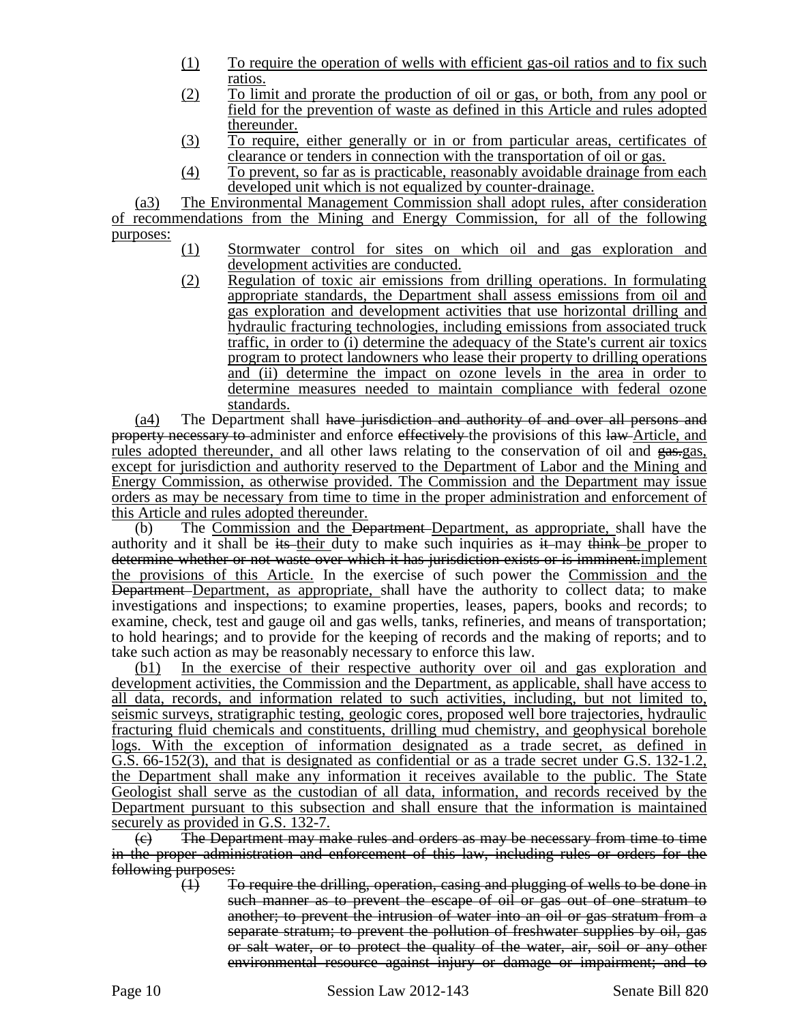- (1) To require the operation of wells with efficient gas-oil ratios and to fix such ratios.
- (2) To limit and prorate the production of oil or gas, or both, from any pool or field for the prevention of waste as defined in this Article and rules adopted thereunder.
- (3) To require, either generally or in or from particular areas, certificates of clearance or tenders in connection with the transportation of oil or gas.
- (4) To prevent, so far as is practicable, reasonably avoidable drainage from each developed unit which is not equalized by counter-drainage.

(a3) The Environmental Management Commission shall adopt rules, after consideration of recommendations from the Mining and Energy Commission, for all of the following purposes:

- (1) Stormwater control for sites on which oil and gas exploration and development activities are conducted.
- (2) Regulation of toxic air emissions from drilling operations. In formulating appropriate standards, the Department shall assess emissions from oil and gas exploration and development activities that use horizontal drilling and hydraulic fracturing technologies, including emissions from associated truck traffic, in order to (i) determine the adequacy of the State's current air toxics program to protect landowners who lease their property to drilling operations and (ii) determine the impact on ozone levels in the area in order to determine measures needed to maintain compliance with federal ozone standards.

(a4) The Department shall have jurisdiction and authority of and over all persons and property necessary to administer and enforce effectively the provisions of this law Article, and rules adopted thereunder, and all other laws relating to the conservation of oil and gas-gas, except for jurisdiction and authority reserved to the Department of Labor and the Mining and Energy Commission, as otherwise provided. The Commission and the Department may issue orders as may be necessary from time to time in the proper administration and enforcement of this Article and rules adopted thereunder.

(b) The Commission and the Department Department, as appropriate, shall have the authority and it shall be its their duty to make such inquiries as  $\ddot{\textbf{i}}$  may think be proper to determine whether or not waste over which it has jurisdiction exists or is imminent.implement the provisions of this Article. In the exercise of such power the Commission and the Department Department, as appropriate, shall have the authority to collect data; to make investigations and inspections; to examine properties, leases, papers, books and records; to examine, check, test and gauge oil and gas wells, tanks, refineries, and means of transportation; to hold hearings; and to provide for the keeping of records and the making of reports; and to take such action as may be reasonably necessary to enforce this law.

(b1) In the exercise of their respective authority over oil and gas exploration and development activities, the Commission and the Department, as applicable, shall have access to all data, records, and information related to such activities, including, but not limited to, seismic surveys, stratigraphic testing, geologic cores, proposed well bore trajectories, hydraulic fracturing fluid chemicals and constituents, drilling mud chemistry, and geophysical borehole logs. With the exception of information designated as a trade secret, as defined in G.S. 66-152(3), and that is designated as confidential or as a trade secret under G.S. 132-1.2, the Department shall make any information it receives available to the public. The State Geologist shall serve as the custodian of all data, information, and records received by the Department pursuant to this subsection and shall ensure that the information is maintained securely as provided in G.S. 132-7.

 $\left(\epsilon\right)$  The Department may make rules and orders as may be necessary from time to time in the proper administration and enforcement of this law, including rules or orders for the following purposes:

(1) To require the drilling, operation, casing and plugging of wells to be done in such manner as to prevent the escape of oil or gas out of one stratum to another; to prevent the intrusion of water into an oil or gas stratum from a separate stratum; to prevent the pollution of freshwater supplies by oil, gas or salt water, or to protect the quality of the water, air, soil or any other environmental resource against injury or damage or impairment; and to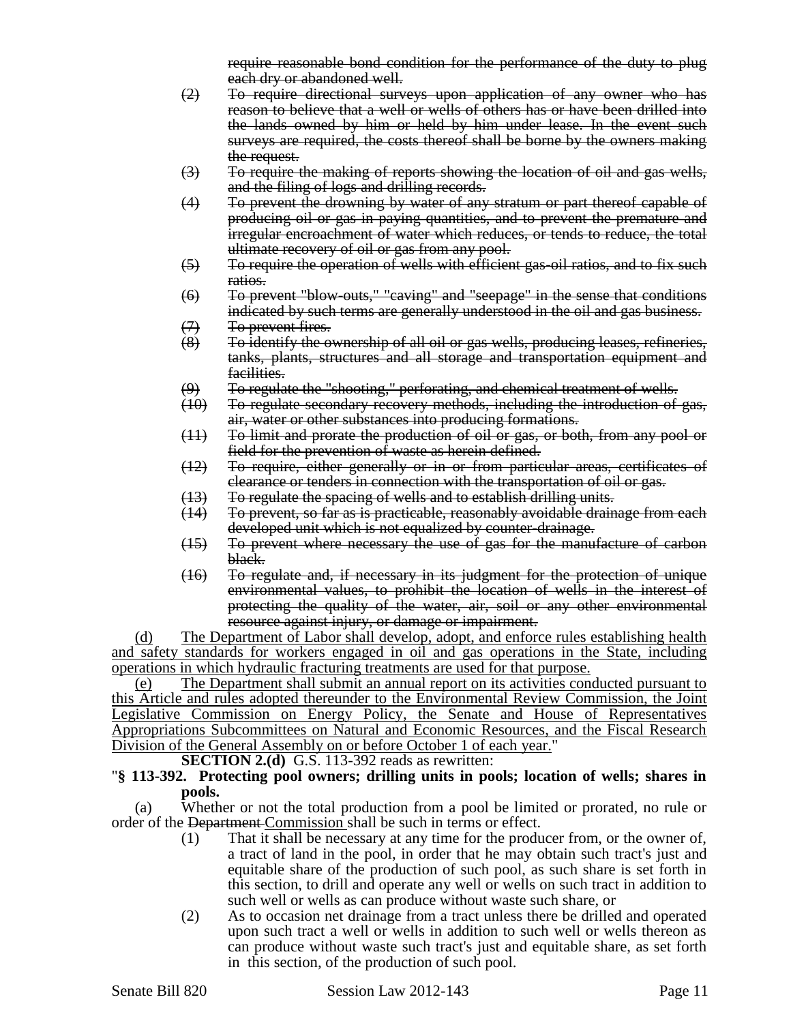require reasonable bond condition for the performance of the duty to plug each dry or abandoned well.

- (2) To require directional surveys upon application of any owner who has reason to believe that a well or wells of others has or have been drilled into the lands owned by him or held by him under lease. In the event such surveys are required, the costs thereof shall be borne by the owners making the request.
- $(3)$  To require the making of reports showing the location of oil and gas wells, and the filing of logs and drilling records.
- (4) To prevent the drowning by water of any stratum or part thereof capable of producing oil or gas in paying quantities, and to prevent the premature and irregular encroachment of water which reduces, or tends to reduce, the total ultimate recovery of oil or gas from any pool.
- (5) To require the operation of wells with efficient gas-oil ratios, and to fix such ratios.
- (6) To prevent "blow-outs," "caving" and "seepage" in the sense that conditions indicated by such terms are generally understood in the oil and gas business.
- 
- <del>(7)</del> To prevent fires<del>.</del><br>(8) To identify the o To identify the ownership of all oil or gas wells, producing leases, refineries, tanks, plants, structures and all storage and transportation equipment and facilities.
- 
- (9) To regulate the "shooting," perforating, and chemical treatment of wells.<br>(10) To regulate secondary recovery methods, including the introduction of To regulate secondary recovery methods, including the introduction of gas, air, water or other substances into producing formations.
- (11) To limit and prorate the production of oil or gas, or both, from any pool or field for the prevention of waste as herein defined.
- (12) To require, either generally or in or from particular areas, certificates of clearance or tenders in connection with the transportation of oil or gas.
- (13) To regulate the spacing of wells and to establish drilling units.<br>(14) To prevent, so far as is practicable, reasonably avoidable drair
- To prevent, so far as is practicable, reasonably avoidable drainage from each developed unit which is not equalized by counter-drainage.
- (15) To prevent where necessary the use of gas for the manufacture of carbon black.
- (16) To regulate and, if necessary in its judgment for the protection of unique environmental values, to prohibit the location of wells in the interest of protecting the quality of the water, air, soil or any other environmental resource against injury, or damage or impairment.

(d) The Department of Labor shall develop, adopt, and enforce rules establishing health and safety standards for workers engaged in oil and gas operations in the State, including operations in which hydraulic fracturing treatments are used for that purpose.

(e) The Department shall submit an annual report on its activities conducted pursuant to this Article and rules adopted thereunder to the Environmental Review Commission, the Joint Legislative Commission on Energy Policy, the Senate and House of Representatives Appropriations Subcommittees on Natural and Economic Resources, and the Fiscal Research Division of the General Assembly on or before October 1 of each year."

**SECTION 2.(d)** G.S. 113-392 reads as rewritten:

### "**§ 113-392. Protecting pool owners; drilling units in pools; location of wells; shares in pools.**

(a) Whether or not the total production from a pool be limited or prorated, no rule or order of the Department Commission shall be such in terms or effect.

- (1) That it shall be necessary at any time for the producer from, or the owner of, a tract of land in the pool, in order that he may obtain such tract's just and equitable share of the production of such pool, as such share is set forth in this section, to drill and operate any well or wells on such tract in addition to such well or wells as can produce without waste such share, or
- (2) As to occasion net drainage from a tract unless there be drilled and operated upon such tract a well or wells in addition to such well or wells thereon as can produce without waste such tract's just and equitable share, as set forth in this section, of the production of such pool.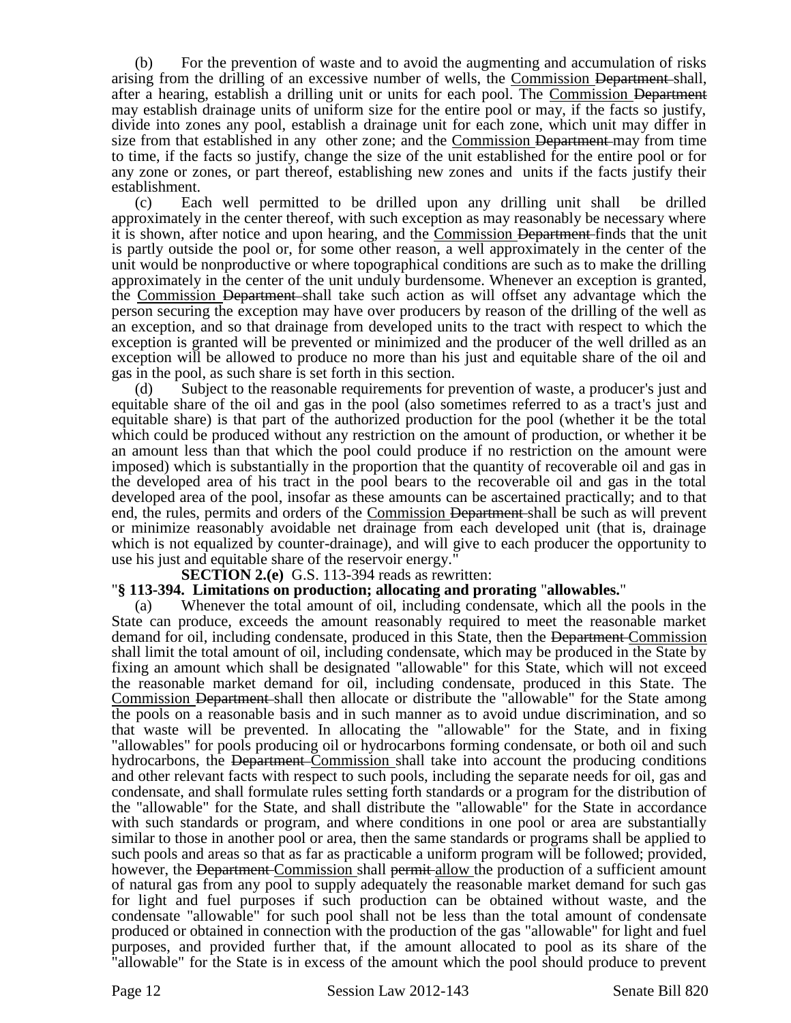(b) For the prevention of waste and to avoid the augmenting and accumulation of risks arising from the drilling of an excessive number of wells, the Commission Department shall, after a hearing, establish a drilling unit or units for each pool. The Commission Department may establish drainage units of uniform size for the entire pool or may, if the facts so justify, divide into zones any pool, establish a drainage unit for each zone, which unit may differ in size from that established in any other zone; and the Commission <del>Department</del>-may from time to time, if the facts so justify, change the size of the unit established for the entire pool or for any zone or zones, or part thereof, establishing new zones and units if the facts justify their establishment.

(c) Each well permitted to be drilled upon any drilling unit shall be drilled approximately in the center thereof, with such exception as may reasonably be necessary where it is shown, after notice and upon hearing, and the Commission Department finds that the unit is partly outside the pool or, for some other reason, a well approximately in the center of the unit would be nonproductive or where topographical conditions are such as to make the drilling approximately in the center of the unit unduly burdensome. Whenever an exception is granted, the Commission Department shall take such action as will offset any advantage which the person securing the exception may have over producers by reason of the drilling of the well as an exception, and so that drainage from developed units to the tract with respect to which the exception is granted will be prevented or minimized and the producer of the well drilled as an exception will be allowed to produce no more than his just and equitable share of the oil and gas in the pool, as such share is set forth in this section.

(d) Subject to the reasonable requirements for prevention of waste, a producer's just and equitable share of the oil and gas in the pool (also sometimes referred to as a tract's just and equitable share) is that part of the authorized production for the pool (whether it be the total which could be produced without any restriction on the amount of production, or whether it be an amount less than that which the pool could produce if no restriction on the amount were imposed) which is substantially in the proportion that the quantity of recoverable oil and gas in the developed area of his tract in the pool bears to the recoverable oil and gas in the total developed area of the pool, insofar as these amounts can be ascertained practically; and to that end, the rules, permits and orders of the Commission Department shall be such as will prevent or minimize reasonably avoidable net drainage from each developed unit (that is, drainage which is not equalized by counter-drainage), and will give to each producer the opportunity to use his just and equitable share of the reservoir energy."

**SECTION 2.(e)** G.S. 113-394 reads as rewritten:

### "**§ 113-394. Limitations on production; allocating and prorating** "**allowables.**"

(a) Whenever the total amount of oil, including condensate, which all the pools in the State can produce, exceeds the amount reasonably required to meet the reasonable market demand for oil, including condensate, produced in this State, then the Department Commission shall limit the total amount of oil, including condensate, which may be produced in the State by fixing an amount which shall be designated "allowable" for this State, which will not exceed the reasonable market demand for oil, including condensate, produced in this State. The Commission Department shall then allocate or distribute the "allowable" for the State among the pools on a reasonable basis and in such manner as to avoid undue discrimination, and so that waste will be prevented. In allocating the "allowable" for the State, and in fixing "allowables" for pools producing oil or hydrocarbons forming condensate, or both oil and such hydrocarbons, the <del>Department</del> Commission shall take into account the producing conditions and other relevant facts with respect to such pools, including the separate needs for oil, gas and condensate, and shall formulate rules setting forth standards or a program for the distribution of the "allowable" for the State, and shall distribute the "allowable" for the State in accordance with such standards or program, and where conditions in one pool or area are substantially similar to those in another pool or area, then the same standards or programs shall be applied to such pools and areas so that as far as practicable a uniform program will be followed; provided, however, the Department Commission shall permit allow the production of a sufficient amount of natural gas from any pool to supply adequately the reasonable market demand for such gas for light and fuel purposes if such production can be obtained without waste, and the condensate "allowable" for such pool shall not be less than the total amount of condensate produced or obtained in connection with the production of the gas "allowable" for light and fuel purposes, and provided further that, if the amount allocated to pool as its share of the "allowable" for the State is in excess of the amount which the pool should produce to prevent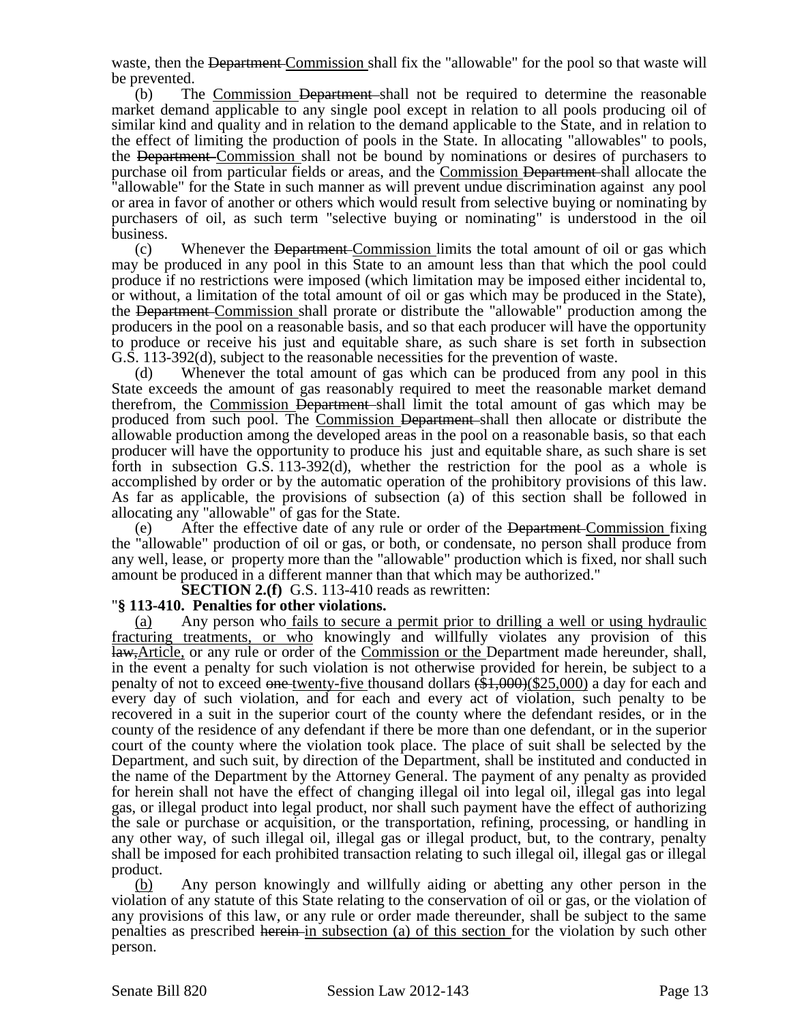waste, then the Department Commission shall fix the "allowable" for the pool so that waste will be prevented.

(b) The Commission Department shall not be required to determine the reasonable market demand applicable to any single pool except in relation to all pools producing oil of similar kind and quality and in relation to the demand applicable to the State, and in relation to the effect of limiting the production of pools in the State. In allocating "allowables" to pools, the Department Commission shall not be bound by nominations or desires of purchasers to purchase oil from particular fields or areas, and the Commission Department shall allocate the "allowable" for the State in such manner as will prevent undue discrimination against any pool or area in favor of another or others which would result from selective buying or nominating by purchasers of oil, as such term "selective buying or nominating" is understood in the oil business.

(c) Whenever the Department Commission limits the total amount of oil or gas which may be produced in any pool in this State to an amount less than that which the pool could produce if no restrictions were imposed (which limitation may be imposed either incidental to, or without, a limitation of the total amount of oil or gas which may be produced in the State), the Department Commission shall prorate or distribute the "allowable" production among the producers in the pool on a reasonable basis, and so that each producer will have the opportunity to produce or receive his just and equitable share, as such share is set forth in subsection G.S. 113-392(d), subject to the reasonable necessities for the prevention of waste.

(d) Whenever the total amount of gas which can be produced from any pool in this State exceeds the amount of gas reasonably required to meet the reasonable market demand therefrom, the Commission Department shall limit the total amount of gas which may be produced from such pool. The Commission Department shall then allocate or distribute the allowable production among the developed areas in the pool on a reasonable basis, so that each producer will have the opportunity to produce his just and equitable share, as such share is set forth in subsection G.S. 113-392(d), whether the restriction for the pool as a whole is accomplished by order or by the automatic operation of the prohibitory provisions of this law. As far as applicable, the provisions of subsection (a) of this section shall be followed in allocating any "allowable" of gas for the State.

(e) After the effective date of any rule or order of the Department Commission fixing the "allowable" production of oil or gas, or both, or condensate, no person shall produce from any well, lease, or property more than the "allowable" production which is fixed, nor shall such amount be produced in a different manner than that which may be authorized."

**SECTION 2.(f)** G.S. 113-410 reads as rewritten:

### "**§ 113-410. Penalties for other violations.**

(a) Any person who fails to secure a permit prior to drilling a well or using hydraulic fracturing treatments, or who knowingly and willfully violates any provision of this law,Article, or any rule or order of the Commission or the Department made hereunder, shall, in the event a penalty for such violation is not otherwise provided for herein, be subject to a penalty of not to exceed one twenty-five thousand dollars (\$1,000)(\$25,000) a day for each and every day of such violation, and for each and every act of violation, such penalty to be recovered in a suit in the superior court of the county where the defendant resides, or in the county of the residence of any defendant if there be more than one defendant, or in the superior court of the county where the violation took place. The place of suit shall be selected by the Department, and such suit, by direction of the Department, shall be instituted and conducted in the name of the Department by the Attorney General. The payment of any penalty as provided for herein shall not have the effect of changing illegal oil into legal oil, illegal gas into legal gas, or illegal product into legal product, nor shall such payment have the effect of authorizing the sale or purchase or acquisition, or the transportation, refining, processing, or handling in any other way, of such illegal oil, illegal gas or illegal product, but, to the contrary, penalty shall be imposed for each prohibited transaction relating to such illegal oil, illegal gas or illegal product.

(b) Any person knowingly and willfully aiding or abetting any other person in the violation of any statute of this State relating to the conservation of oil or gas, or the violation of any provisions of this law, or any rule or order made thereunder, shall be subject to the same penalties as prescribed herein in subsection (a) of this section for the violation by such other person.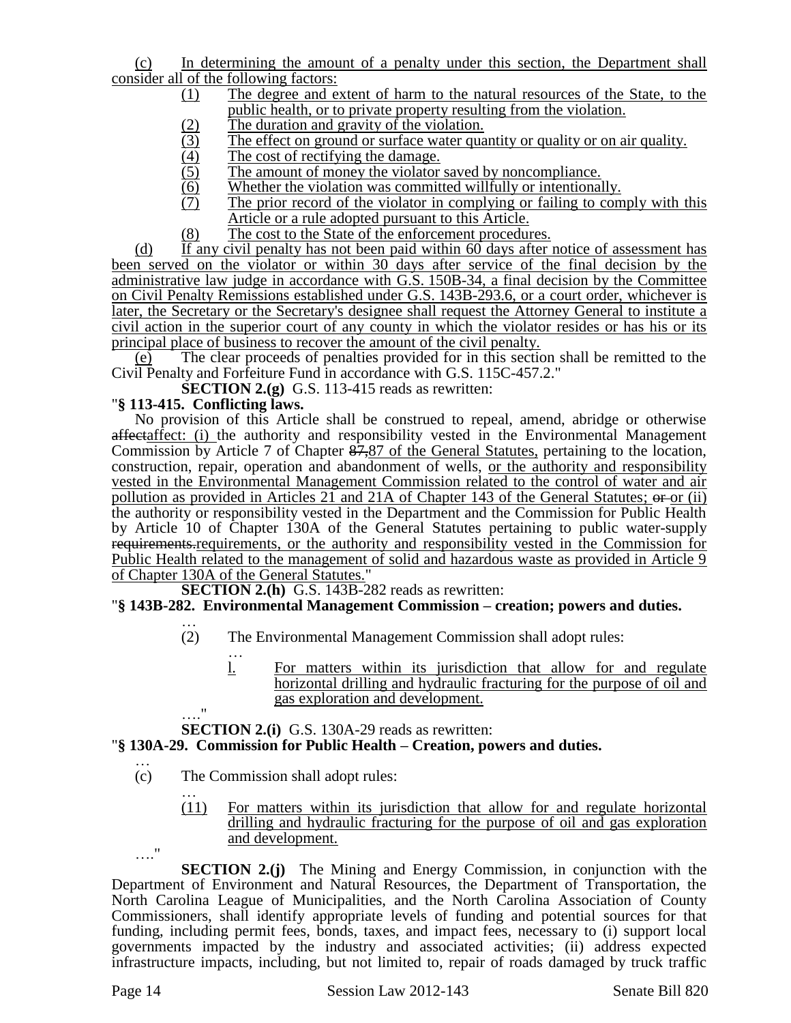(c) In determining the amount of a penalty under this section, the Department shall consider all of the following factors:

- (1) The degree and extent of harm to the natural resources of the State, to the public health, or to private property resulting from the violation.
- 
- (2) The duration and gravity of the violation.<br>
(3) The effect on ground or surface water qua (3) The effect on ground or surface water quantity or quality or on air quality.<br>
The cost of rectifying the damage.<br>
(5) The amount of money the violator saved by noncompliance.
- The cost of rectifying the damage.
- 
- Whether the violation was committed willfully or intentionally.
- (5) The amount of money the violator saved by noncompliance.<br>
(6) Whether the violation was committed willfully or intentional<br>
(7) The prior record of the violator in complying or failing to The prior record of the violator in complying or failing to comply with this Article or a rule adopted pursuant to this Article.
- (8) The cost to the State of the enforcement procedures.

(d) If any civil penalty has not been paid within  $60$  days after notice of assessment has been served on the violator or within 30 days after service of the final decision by the administrative law judge in accordance with G.S. 150B-34, a final decision by the Committee on Civil Penalty Remissions established under G.S. 143B-293.6, or a court order, whichever is later, the Secretary or the Secretary's designee shall request the Attorney General to institute a civil action in the superior court of any county in which the violator resides or has his or its principal place of business to recover the amount of the civil penalty.

(e) The clear proceeds of penalties provided for in this section shall be remitted to the Civil Penalty and Forfeiture Fund in accordance with G.S. 115C-457.2."

**SECTION 2.(g)** G.S. 113-415 reads as rewritten:

### "**§ 113-415. Conflicting laws.**

 $^{\prime}$ 

No provision of this Article shall be construed to repeal, amend, abridge or otherwise affectaffect: (i) the authority and responsibility vested in the Environmental Management Commission by Article 7 of Chapter  $\frac{87,87}{2}$  of the General Statutes, pertaining to the location, construction, repair, operation and abandonment of wells, or the authority and responsibility vested in the Environmental Management Commission related to the control of water and air pollution as provided in Articles 21 and 21A of Chapter 143 of the General Statutes;  $\Theta$  or (ii) the authority or responsibility vested in the Department and the Commission for Public Health by Article 10 of Chapter 130A of the General Statutes pertaining to public water-supply requirements.requirements, or the authority and responsibility vested in the Commission for Public Health related to the management of solid and hazardous waste as provided in Article 9 of Chapter 130A of the General Statutes."

**SECTION 2.(h)** G.S. 143B-282 reads as rewritten:

### "**§ 143B-282. Environmental Management Commission – creation; powers and duties.**

- … (2) The Environmental Management Commission shall adopt rules:
	- … l. For matters within its jurisdiction that allow for and regulate horizontal drilling and hydraulic fracturing for the purpose of oil and gas exploration and development.

**SECTION 2.(i)** G.S. 130A-29 reads as rewritten:

### "**§ 130A-29. Commission for Public Health – Creation, powers and duties.**

- … (c) The Commission shall adopt rules:
	- … (11) For matters within its jurisdiction that allow for and regulate horizontal drilling and hydraulic fracturing for the purpose of oil and gas exploration and development.

…." **SECTION 2.(j)** The Mining and Energy Commission, in conjunction with the Department of Environment and Natural Resources, the Department of Transportation, the North Carolina League of Municipalities, and the North Carolina Association of County Commissioners, shall identify appropriate levels of funding and potential sources for that funding, including permit fees, bonds, taxes, and impact fees, necessary to (i) support local governments impacted by the industry and associated activities; (ii) address expected infrastructure impacts, including, but not limited to, repair of roads damaged by truck traffic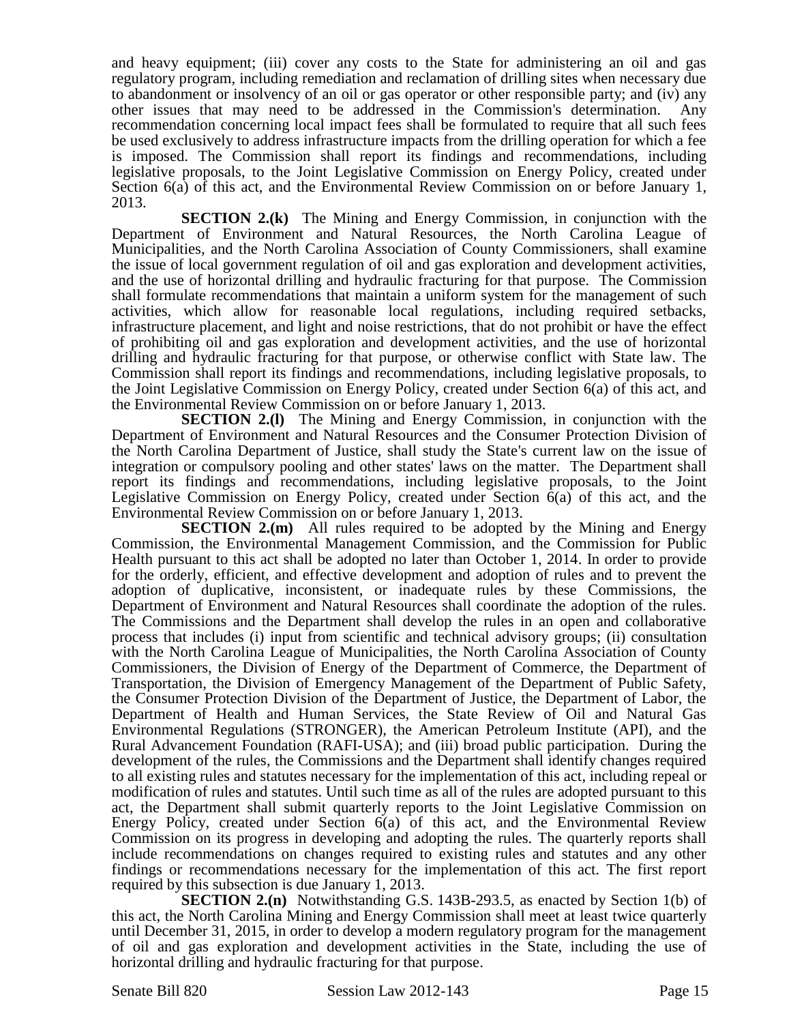and heavy equipment; (iii) cover any costs to the State for administering an oil and gas regulatory program, including remediation and reclamation of drilling sites when necessary due to abandonment or insolvency of an oil or gas operator or other responsible party; and (iv) any other issues that may need to be addressed in the Commission's determination. Any recommendation concerning local impact fees shall be formulated to require that all such fees be used exclusively to address infrastructure impacts from the drilling operation for which a fee is imposed. The Commission shall report its findings and recommendations, including legislative proposals, to the Joint Legislative Commission on Energy Policy, created under Section 6(a) of this act, and the Environmental Review Commission on or before January 1, 2013.

**SECTION 2.(k)** The Mining and Energy Commission, in conjunction with the Department of Environment and Natural Resources, the North Carolina League of Municipalities, and the North Carolina Association of County Commissioners, shall examine the issue of local government regulation of oil and gas exploration and development activities, and the use of horizontal drilling and hydraulic fracturing for that purpose. The Commission shall formulate recommendations that maintain a uniform system for the management of such activities, which allow for reasonable local regulations, including required setbacks, infrastructure placement, and light and noise restrictions, that do not prohibit or have the effect of prohibiting oil and gas exploration and development activities, and the use of horizontal drilling and hydraulic fracturing for that purpose, or otherwise conflict with State law. The Commission shall report its findings and recommendations, including legislative proposals, to the Joint Legislative Commission on Energy Policy, created under Section 6(a) of this act, and the Environmental Review Commission on or before January 1, 2013.

**SECTION 2.(1)** The Mining and Energy Commission, in conjunction with the Department of Environment and Natural Resources and the Consumer Protection Division of the North Carolina Department of Justice, shall study the State's current law on the issue of integration or compulsory pooling and other states' laws on the matter. The Department shall report its findings and recommendations, including legislative proposals, to the Joint Legislative Commission on Energy Policy, created under Section  $\vec{6}$ (a) of this act, and the Environmental Review Commission on or before January 1, 2013.

**SECTION 2.(m)** All rules required to be adopted by the Mining and Energy Commission, the Environmental Management Commission, and the Commission for Public Health pursuant to this act shall be adopted no later than October 1, 2014. In order to provide for the orderly, efficient, and effective development and adoption of rules and to prevent the adoption of duplicative, inconsistent, or inadequate rules by these Commissions, the Department of Environment and Natural Resources shall coordinate the adoption of the rules. The Commissions and the Department shall develop the rules in an open and collaborative process that includes (i) input from scientific and technical advisory groups; (ii) consultation with the North Carolina League of Municipalities, the North Carolina Association of County Commissioners, the Division of Energy of the Department of Commerce, the Department of Transportation, the Division of Emergency Management of the Department of Public Safety, the Consumer Protection Division of the Department of Justice, the Department of Labor, the Department of Health and Human Services, the State Review of Oil and Natural Gas Environmental Regulations (STRONGER), the American Petroleum Institute (API), and the Rural Advancement Foundation (RAFI-USA); and (iii) broad public participation. During the development of the rules, the Commissions and the Department shall identify changes required to all existing rules and statutes necessary for the implementation of this act, including repeal or modification of rules and statutes. Until such time as all of the rules are adopted pursuant to this act, the Department shall submit quarterly reports to the Joint Legislative Commission on Energy Policy, created under Section 6(a) of this act, and the Environmental Review Commission on its progress in developing and adopting the rules. The quarterly reports shall include recommendations on changes required to existing rules and statutes and any other findings or recommendations necessary for the implementation of this act. The first report required by this subsection is due January 1, 2013.

**SECTION 2.(n)** Notwithstanding G.S. 143B-293.5, as enacted by Section 1(b) of this act, the North Carolina Mining and Energy Commission shall meet at least twice quarterly until December 31, 2015, in order to develop a modern regulatory program for the management of oil and gas exploration and development activities in the State, including the use of horizontal drilling and hydraulic fracturing for that purpose.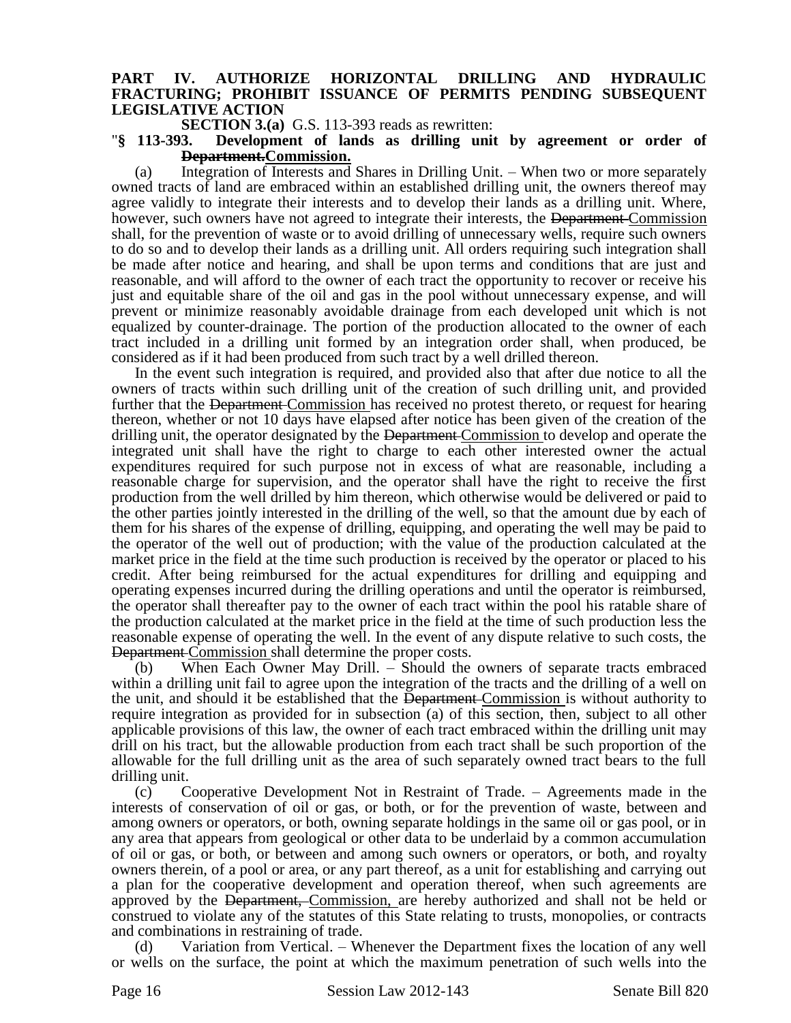### **PART IV. AUTHORIZE HORIZONTAL DRILLING AND HYDRAULIC FRACTURING; PROHIBIT ISSUANCE OF PERMITS PENDING SUBSEQUENT LEGISLATIVE ACTION**

**SECTION 3.(a)** G.S. 113-393 reads as rewritten:

#### "**§ 113-393. Development of lands as drilling unit by agreement or order of Department.Commission.**

(a) Integration of Interests and Shares in Drilling Unit. – When two or more separately owned tracts of land are embraced within an established drilling unit, the owners thereof may agree validly to integrate their interests and to develop their lands as a drilling unit. Where, however, such owners have not agreed to integrate their interests, the <del>Department</del> Commission shall, for the prevention of waste or to avoid drilling of unnecessary wells, require such owners to do so and to develop their lands as a drilling unit. All orders requiring such integration shall be made after notice and hearing, and shall be upon terms and conditions that are just and reasonable, and will afford to the owner of each tract the opportunity to recover or receive his just and equitable share of the oil and gas in the pool without unnecessary expense, and will prevent or minimize reasonably avoidable drainage from each developed unit which is not equalized by counter-drainage. The portion of the production allocated to the owner of each tract included in a drilling unit formed by an integration order shall, when produced, be considered as if it had been produced from such tract by a well drilled thereon.

In the event such integration is required, and provided also that after due notice to all the owners of tracts within such drilling unit of the creation of such drilling unit, and provided further that the Department Commission has received no protest thereto, or request for hearing thereon, whether or not 10 days have elapsed after notice has been given of the creation of the drilling unit, the operator designated by the Department Commission to develop and operate the integrated unit shall have the right to charge to each other interested owner the actual expenditures required for such purpose not in excess of what are reasonable, including a reasonable charge for supervision, and the operator shall have the right to receive the first production from the well drilled by him thereon, which otherwise would be delivered or paid to the other parties jointly interested in the drilling of the well, so that the amount due by each of them for his shares of the expense of drilling, equipping, and operating the well may be paid to the operator of the well out of production; with the value of the production calculated at the market price in the field at the time such production is received by the operator or placed to his credit. After being reimbursed for the actual expenditures for drilling and equipping and operating expenses incurred during the drilling operations and until the operator is reimbursed, the operator shall thereafter pay to the owner of each tract within the pool his ratable share of the production calculated at the market price in the field at the time of such production less the reasonable expense of operating the well. In the event of any dispute relative to such costs, the Department Commission shall determine the proper costs.

(b) When Each Owner May Drill. – Should the owners of separate tracts embraced within a drilling unit fail to agree upon the integration of the tracts and the drilling of a well on the unit, and should it be established that the Department Commission is without authority to require integration as provided for in subsection (a) of this section, then, subject to all other applicable provisions of this law, the owner of each tract embraced within the drilling unit may drill on his tract, but the allowable production from each tract shall be such proportion of the allowable for the full drilling unit as the area of such separately owned tract bears to the full drilling unit.

(c) Cooperative Development Not in Restraint of Trade. – Agreements made in the interests of conservation of oil or gas, or both, or for the prevention of waste, between and among owners or operators, or both, owning separate holdings in the same oil or gas pool, or in any area that appears from geological or other data to be underlaid by a common accumulation of oil or gas, or both, or between and among such owners or operators, or both, and royalty owners therein, of a pool or area, or any part thereof, as a unit for establishing and carrying out a plan for the cooperative development and operation thereof, when such agreements are approved by the Department, Commission, are hereby authorized and shall not be held or construed to violate any of the statutes of this State relating to trusts, monopolies, or contracts and combinations in restraining of trade.

Variation from Vertical. – Whenever the Department fixes the location of any well or wells on the surface, the point at which the maximum penetration of such wells into the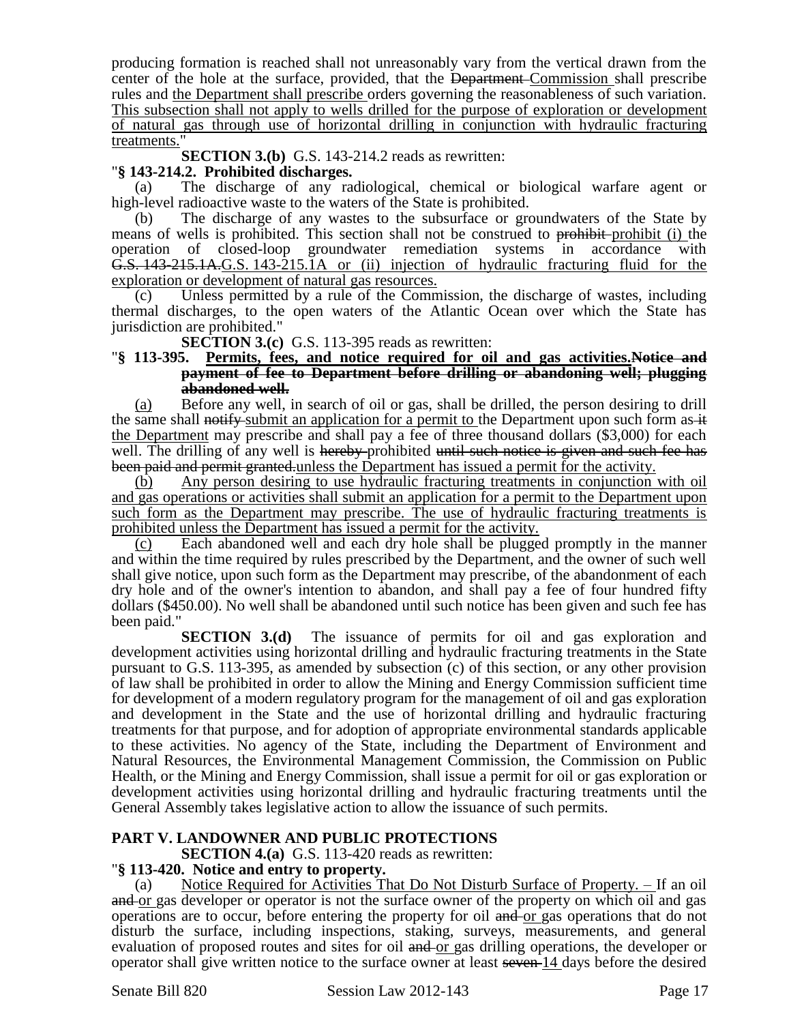producing formation is reached shall not unreasonably vary from the vertical drawn from the center of the hole at the surface, provided, that the Department Commission shall prescribe rules and the Department shall prescribe orders governing the reasonableness of such variation. This subsection shall not apply to wells drilled for the purpose of exploration or development of natural gas through use of horizontal drilling in conjunction with hydraulic fracturing treatments.

**SECTION 3.(b)** G.S. 143-214.2 reads as rewritten:

### "**§ 143-214.2. Prohibited discharges.**

(a) The discharge of any radiological, chemical or biological warfare agent or high-level radioactive waste to the waters of the State is prohibited.

(b) The discharge of any wastes to the subsurface or groundwaters of the State by means of wells is prohibited. This section shall not be construed to prohibit-prohibit (i) the operation of closed-loop groundwater remediation systems in accordance with G.S. 143-215.1A.G.S. 143-215.1A or (ii) injection of hydraulic fracturing fluid for the exploration or development of natural gas resources.

(c) Unless permitted by a rule of the Commission, the discharge of wastes, including thermal discharges, to the open waters of the Atlantic Ocean over which the State has jurisdiction are prohibited."

**SECTION 3.(c)** G.S. 113-395 reads as rewritten:

#### "**§ 113-395. Permits, fees, and notice required for oil and gas activities.Notice and payment of fee to Department before drilling or abandoning well; plugging abandoned well.**

(a) Before any well, in search of oil or gas, shall be drilled, the person desiring to drill the same shall notify submit an application for a permit to the Department upon such form as  $\pm$ the Department may prescribe and shall pay a fee of three thousand dollars (\$3,000) for each well. The drilling of any well is hereby-prohibited until such notice is given and such fee has been paid and permit granted-unless the Department has issued a permit for the activity.

(b) Any person desiring to use hydraulic fracturing treatments in conjunction with oil and gas operations or activities shall submit an application for a permit to the Department upon such form as the Department may prescribe. The use of hydraulic fracturing treatments is prohibited unless the Department has issued a permit for the activity.

(c) Each abandoned well and each dry hole shall be plugged promptly in the manner and within the time required by rules prescribed by the Department, and the owner of such well shall give notice, upon such form as the Department may prescribe, of the abandonment of each dry hole and of the owner's intention to abandon, and shall pay a fee of four hundred fifty dollars (\$450.00). No well shall be abandoned until such notice has been given and such fee has been paid."

**SECTION 3.(d)** The issuance of permits for oil and gas exploration and development activities using horizontal drilling and hydraulic fracturing treatments in the State pursuant to G.S. 113-395, as amended by subsection (c) of this section, or any other provision of law shall be prohibited in order to allow the Mining and Energy Commission sufficient time for development of a modern regulatory program for the management of oil and gas exploration and development in the State and the use of horizontal drilling and hydraulic fracturing treatments for that purpose, and for adoption of appropriate environmental standards applicable to these activities. No agency of the State, including the Department of Environment and Natural Resources, the Environmental Management Commission, the Commission on Public Health, or the Mining and Energy Commission, shall issue a permit for oil or gas exploration or development activities using horizontal drilling and hydraulic fracturing treatments until the General Assembly takes legislative action to allow the issuance of such permits.

### **PART V. LANDOWNER AND PUBLIC PROTECTIONS**

**SECTION 4.(a)** G.S. 113-420 reads as rewritten:

### "**§ 113-420. Notice and entry to property.**

(a) Notice Required for Activities That Do Not Disturb Surface of Property. – If an oil and or gas developer or operator is not the surface owner of the property on which oil and gas operations are to occur, before entering the property for oil and or gas operations that do not disturb the surface, including inspections, staking, surveys, measurements, and general evaluation of proposed routes and sites for oil and or gas drilling operations, the developer or operator shall give written notice to the surface owner at least seven 14 days before the desired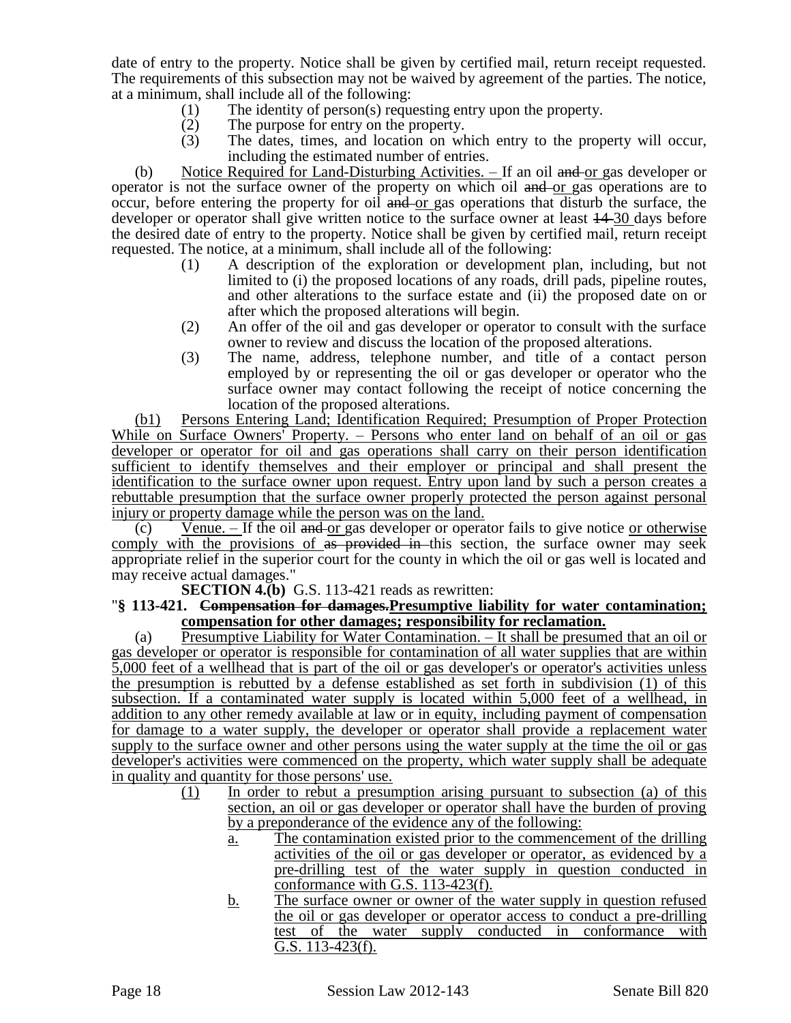date of entry to the property. Notice shall be given by certified mail, return receipt requested. The requirements of this subsection may not be waived by agreement of the parties. The notice, at a minimum, shall include all of the following:

- (1) The identity of person(s) requesting entry upon the property.
- (2) The purpose for entry on the property.
- (3) The dates, times, and location on which entry to the property will occur, including the estimated number of entries.

(b) Notice Required for Land-Disturbing Activities.  $-$  If an oil and or gas developer or operator is not the surface owner of the property on which oil and or gas operations are to occur, before entering the property for oil and or gas operations that disturb the surface, the developer or operator shall give written notice to the surface owner at least  $14-30$  days before the desired date of entry to the property. Notice shall be given by certified mail, return receipt requested. The notice, at a minimum, shall include all of the following:

- (1) A description of the exploration or development plan, including, but not limited to (i) the proposed locations of any roads, drill pads, pipeline routes, and other alterations to the surface estate and (ii) the proposed date on or after which the proposed alterations will begin.
- (2) An offer of the oil and gas developer or operator to consult with the surface owner to review and discuss the location of the proposed alterations.
- (3) The name, address, telephone number, and title of a contact person employed by or representing the oil or gas developer or operator who the surface owner may contact following the receipt of notice concerning the location of the proposed alterations.

(b1) Persons Entering Land; Identification Required; Presumption of Proper Protection While on Surface Owners' Property. – Persons who enter land on behalf of an oil or gas developer or operator for oil and gas operations shall carry on their person identification sufficient to identify themselves and their employer or principal and shall present the identification to the surface owner upon request. Entry upon land by such a person creates a rebuttable presumption that the surface owner properly protected the person against personal injury or property damage while the person was on the land.

 $(c)$  Venue. – If the oil and or gas developer or operator fails to give notice or otherwise comply with the provisions of as provided in this section, the surface owner may seek appropriate relief in the superior court for the county in which the oil or gas well is located and may receive actual damages."

**SECTION 4.(b)** G.S. 113-421 reads as rewritten:

### "**§ 113-421. Compensation for damages.Presumptive liability for water contamination; compensation for other damages; responsibility for reclamation.**

(a) Presumptive Liability for Water Contamination. – It shall be presumed that an oil or gas developer or operator is responsible for contamination of all water supplies that are within 5,000 feet of a wellhead that is part of the oil or gas developer's or operator's activities unless the presumption is rebutted by a defense established as set forth in subdivision (1) of this subsection. If a contaminated water supply is located within 5,000 feet of a wellhead, in addition to any other remedy available at law or in equity, including payment of compensation for damage to a water supply, the developer or operator shall provide a replacement water supply to the surface owner and other persons using the water supply at the time the oil or gas developer's activities were commenced on the property, which water supply shall be adequate in quality and quantity for those persons' use.

- (1) In order to rebut a presumption arising pursuant to subsection (a) of this section, an oil or gas developer or operator shall have the burden of proving by a preponderance of the evidence any of the following:
	- a. The contamination existed prior to the commencement of the drilling activities of the oil or gas developer or operator, as evidenced by a pre-drilling test of the water supply in question conducted in conformance with G.S. 113-423(f).
	- b. The surface owner or owner of the water supply in question refused the oil or gas developer or operator access to conduct a pre-drilling test of the water supply conducted in conformance with G.S. 113-423(f).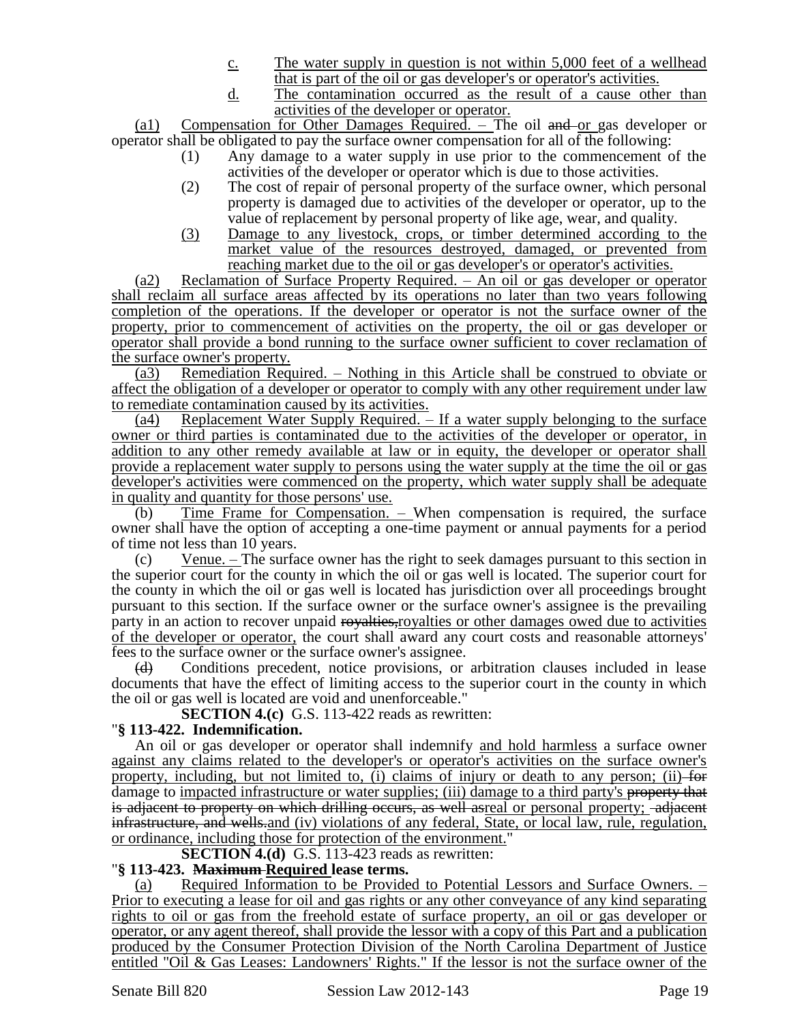- c. The water supply in question is not within 5,000 feet of a wellhead that is part of the oil or gas developer's or operator's activities.
- d. The contamination occurred as the result of a cause other than activities of the developer or operator.

(a1) Compensation for Other Damages Required. – The oil and or gas developer or operator shall be obligated to pay the surface owner compensation for all of the following:

- (1) Any damage to a water supply in use prior to the commencement of the activities of the developer or operator which is due to those activities.
- (2) The cost of repair of personal property of the surface owner, which personal property is damaged due to activities of the developer or operator, up to the value of replacement by personal property of like age, wear, and quality.
- (3) Damage to any livestock, crops, or timber determined according to the market value of the resources destroyed, damaged, or prevented from reaching market due to the oil or gas developer's or operator's activities.

(a2) Reclamation of Surface Property Required. – An oil or gas developer or operator shall reclaim all surface areas affected by its operations no later than two years following completion of the operations. If the developer or operator is not the surface owner of the property, prior to commencement of activities on the property, the oil or gas developer or operator shall provide a bond running to the surface owner sufficient to cover reclamation of the surface owner's property.

(a3) Remediation Required. – Nothing in this Article shall be construed to obviate or affect the obligation of a developer or operator to comply with any other requirement under law to remediate contamination caused by its activities.

(a4) Replacement Water Supply Required. – If a water supply belonging to the surface owner or third parties is contaminated due to the activities of the developer or operator, in addition to any other remedy available at law or in equity, the developer or operator shall provide a replacement water supply to persons using the water supply at the time the oil or gas developer's activities were commenced on the property, which water supply shall be adequate in quality and quantity for those persons' use.

(b) Time Frame for Compensation. – When compensation is required, the surface owner shall have the option of accepting a one-time payment or annual payments for a period of time not less than 10 years.

(c) Venue. – The surface owner has the right to seek damages pursuant to this section in the superior court for the county in which the oil or gas well is located. The superior court for the county in which the oil or gas well is located has jurisdiction over all proceedings brought pursuant to this section. If the surface owner or the surface owner's assignee is the prevailing party in an action to recover unpaid royalties, royalties or other damages owed due to activities of the developer or operator, the court shall award any court costs and reasonable attorneys' fees to the surface owner or the surface owner's assignee.

(d) Conditions precedent, notice provisions, or arbitration clauses included in lease documents that have the effect of limiting access to the superior court in the county in which the oil or gas well is located are void and unenforceable."

**SECTION 4.(c)** G.S. 113-422 reads as rewritten:

# "**§ 113-422. Indemnification.**

An oil or gas developer or operator shall indemnify and hold harmless a surface owner against any claims related to the developer's or operator's activities on the surface owner's property, including, but not limited to,  $\ddot{a}$ ) claims of injury or death to any person; (ii) for damage to <u>impacted infrastructure or water supplies;</u> (iii) damage to a third party's property that is adjacent to property on which drilling occurs, as well asreal or personal property; -adjacent infrastructure, and wells-and (iv) violations of any federal, State, or local law, rule, regulation, or ordinance, including those for protection of the environment."

**SECTION 4.(d)** G.S. 113-423 reads as rewritten:

### "**§ 113-423. Maximum Required lease terms.**

(a) Required Information to be Provided to Potential Lessors and Surface Owners. – Prior to executing a lease for oil and gas rights or any other conveyance of any kind separating rights to oil or gas from the freehold estate of surface property, an oil or gas developer or operator, or any agent thereof, shall provide the lessor with a copy of this Part and a publication produced by the Consumer Protection Division of the North Carolina Department of Justice entitled "Oil & Gas Leases: Landowners' Rights." If the lessor is not the surface owner of the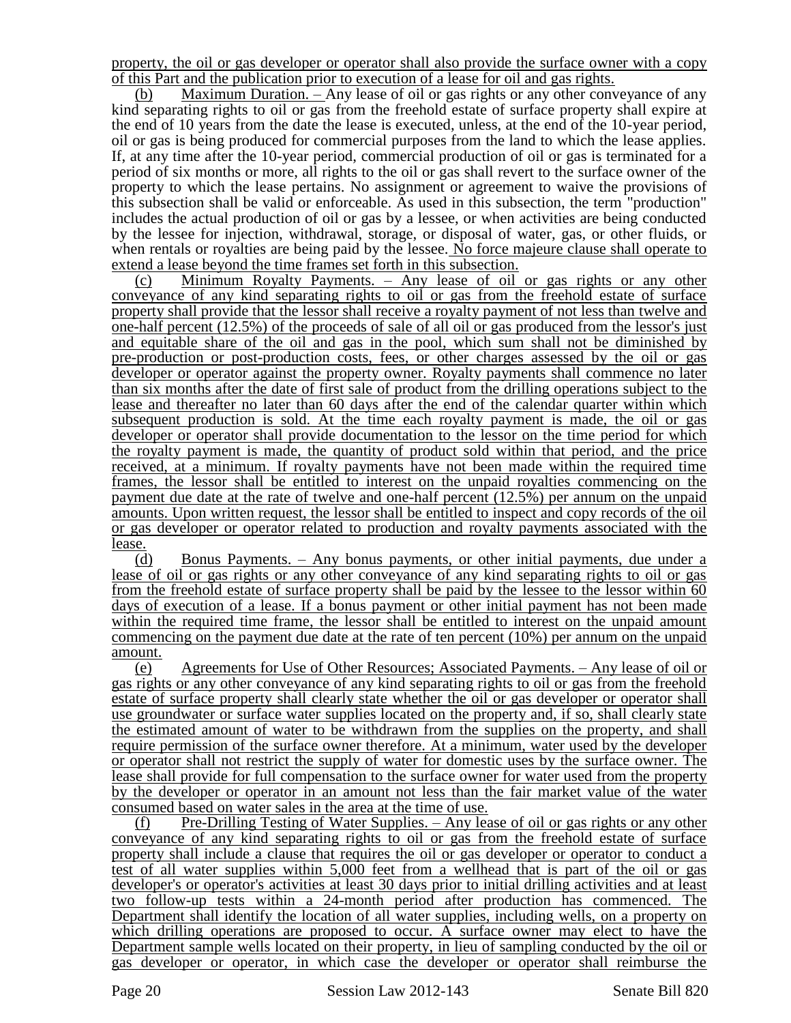property, the oil or gas developer or operator shall also provide the surface owner with a copy of this Part and the publication prior to execution of a lease for oil and gas rights.

(b) Maximum Duration. – Any lease of oil or gas rights or any other conveyance of any kind separating rights to oil or gas from the freehold estate of surface property shall expire at the end of 10 years from the date the lease is executed, unless, at the end of the 10-year period, oil or gas is being produced for commercial purposes from the land to which the lease applies. If, at any time after the 10-year period, commercial production of oil or gas is terminated for a period of six months or more, all rights to the oil or gas shall revert to the surface owner of the property to which the lease pertains. No assignment or agreement to waive the provisions of this subsection shall be valid or enforceable. As used in this subsection, the term "production" includes the actual production of oil or gas by a lessee, or when activities are being conducted by the lessee for injection, withdrawal, storage, or disposal of water, gas, or other fluids, or when rentals or royalties are being paid by the lessee. No force majeure clause shall operate to extend a lease beyond the time frames set forth in this subsection.

(c) Minimum Royalty Payments.  $-$  Any lease of  $\overline{oil}$  or gas rights or any other conveyance of any kind separating rights to oil or gas from the freehold estate of surface property shall provide that the lessor shall receive a royalty payment of not less than twelve and one-half percent (12.5%) of the proceeds of sale of all oil or gas produced from the lessor's just and equitable share of the oil and gas in the pool, which sum shall not be diminished by pre-production or post-production costs, fees, or other charges assessed by the oil or gas developer or operator against the property owner. Royalty payments shall commence no later than six months after the date of first sale of product from the drilling operations subject to the lease and thereafter no later than 60 days after the end of the calendar quarter within which subsequent production is sold. At the time each royalty payment is made, the oil or gas developer or operator shall provide documentation to the lessor on the time period for which the royalty payment is made, the quantity of product sold within that period, and the price received, at a minimum. If royalty payments have not been made within the required time frames, the lessor shall be entitled to interest on the unpaid royalties commencing on the payment due date at the rate of twelve and one-half percent (12.5%) per annum on the unpaid amounts. Upon written request, the lessor shall be entitled to inspect and copy records of the oil or gas developer or operator related to production and royalty payments associated with the lease.

(d) Bonus Payments. – Any bonus payments, or other initial payments, due under a lease of oil or gas rights or any other conveyance of any kind separating rights to oil or gas from the freehold estate of surface property shall be paid by the lessee to the lessor within 60 days of execution of a lease. If a bonus payment or other initial payment has not been made within the required time frame, the lessor shall be entitled to interest on the unpaid amount commencing on the payment due date at the rate of ten percent (10%) per annum on the unpaid amount.

(e) Agreements for Use of Other Resources; Associated Payments. – Any lease of oil or gas rights or any other conveyance of any kind separating rights to oil or gas from the freehold estate of surface property shall clearly state whether the oil or gas developer or operator shall use groundwater or surface water supplies located on the property and, if so, shall clearly state the estimated amount of water to be withdrawn from the supplies on the property, and shall require permission of the surface owner therefore. At a minimum, water used by the developer or operator shall not restrict the supply of water for domestic uses by the surface owner. The lease shall provide for full compensation to the surface owner for water used from the property by the developer or operator in an amount not less than the fair market value of the water consumed based on water sales in the area at the time of use.

(f) Pre-Drilling Testing of Water Supplies. – Any lease of oil or gas rights or any other conveyance of any kind separating rights to oil or gas from the freehold estate of surface property shall include a clause that requires the oil or gas developer or operator to conduct a test of all water supplies within 5,000 feet from a wellhead that is part of the oil or gas developer's or operator's activities at least 30 days prior to initial drilling activities and at least two follow-up tests within a 24-month period after production has commenced. The Department shall identify the location of all water supplies, including wells, on a property on which drilling operations are proposed to occur. A surface owner may elect to have the Department sample wells located on their property, in lieu of sampling conducted by the oil or gas developer or operator, in which case the developer or operator shall reimburse the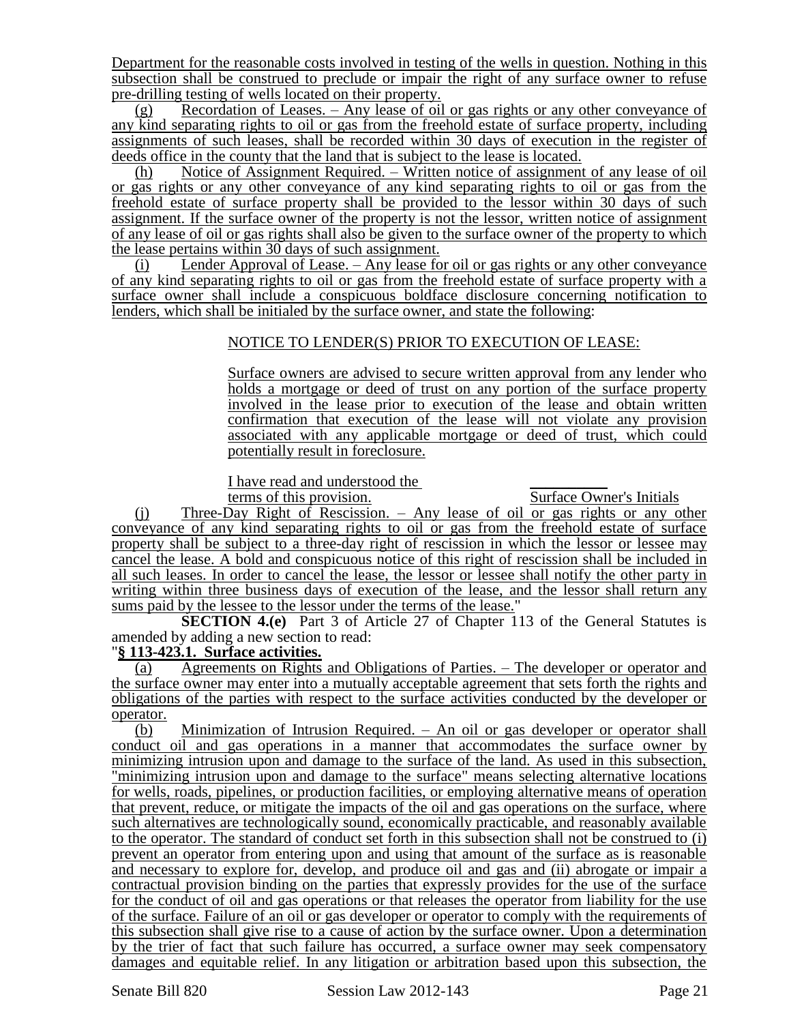Department for the reasonable costs involved in testing of the wells in question. Nothing in this subsection shall be construed to preclude or impair the right of any surface owner to refuse pre-drilling testing of wells located on their property.

(g) Recordation of Leases. – Any lease of oil or gas rights or any other conveyance of any kind separating rights to oil or gas from the freehold estate of surface property, including assignments of such leases, shall be recorded within 30 days of execution in the register of deeds office in the county that the land that is subject to the lease is located.

(h) Notice of Assignment Required. – Written notice of assignment of any lease of oil or gas rights or any other conveyance of any kind separating rights to oil or gas from the freehold estate of surface property shall be provided to the lessor within 30 days of such assignment. If the surface owner of the property is not the lessor, written notice of assignment of any lease of oil or gas rights shall also be given to the surface owner of the property to which the lease pertains within 30 days of such assignment.

(i) Lender Approval of Lease. – Any lease for oil or gas rights or any other conveyance of any kind separating rights to oil or gas from the freehold estate of surface property with a surface owner shall include a conspicuous boldface disclosure concerning notification to lenders, which shall be initialed by the surface owner, and state the following:

# NOTICE TO LENDER(S) PRIOR TO EXECUTION OF LEASE:

Surface owners are advised to secure written approval from any lender who holds a mortgage or deed of trust on any portion of the surface property involved in the lease prior to execution of the lease and obtain written confirmation that execution of the lease will not violate any provision associated with any applicable mortgage or deed of trust, which could potentially result in foreclosure.

I have read and understood the terms of this provision.

Surface Owner's Initials

(j) Three-Day Right of Rescission. – Any lease of oil or gas rights or any other conveyance of any kind separating rights to oil or gas from the freehold estate of surface property shall be subject to a three-day right of rescission in which the lessor or lessee may cancel the lease. A bold and conspicuous notice of this right of rescission shall be included in all such leases. In order to cancel the lease, the lessor or lessee shall notify the other party in writing within three business days of execution of the lease, and the lessor shall return any sums paid by the lessee to the lessor under the terms of the lease."

**SECTION 4.(e)** Part 3 of Article 27 of Chapter 113 of the General Statutes is amended by adding a new section to read:

### "**§ 113-423.1. Surface activities.**

(a) Agreements on Rights and Obligations of Parties. – The developer or operator and the surface owner may enter into a mutually acceptable agreement that sets forth the rights and obligations of the parties with respect to the surface activities conducted by the developer or operator.

(b) Minimization of Intrusion Required. – An oil or gas developer or operator shall conduct oil and gas operations in a manner that accommodates the surface owner by minimizing intrusion upon and damage to the surface of the land. As used in this subsection, "minimizing intrusion upon and damage to the surface" means selecting alternative locations for wells, roads, pipelines, or production facilities, or employing alternative means of operation that prevent, reduce, or mitigate the impacts of the oil and gas operations on the surface, where such alternatives are technologically sound, economically practicable, and reasonably available to the operator. The standard of conduct set forth in this subsection shall not be construed to (i) prevent an operator from entering upon and using that amount of the surface as is reasonable and necessary to explore for, develop, and produce oil and gas and (ii) abrogate or impair a contractual provision binding on the parties that expressly provides for the use of the surface for the conduct of oil and gas operations or that releases the operator from liability for the use of the surface. Failure of an oil or gas developer or operator to comply with the requirements of this subsection shall give rise to a cause of action by the surface owner. Upon a determination by the trier of fact that such failure has occurred, a surface owner may seek compensatory damages and equitable relief. In any litigation or arbitration based upon this subsection, the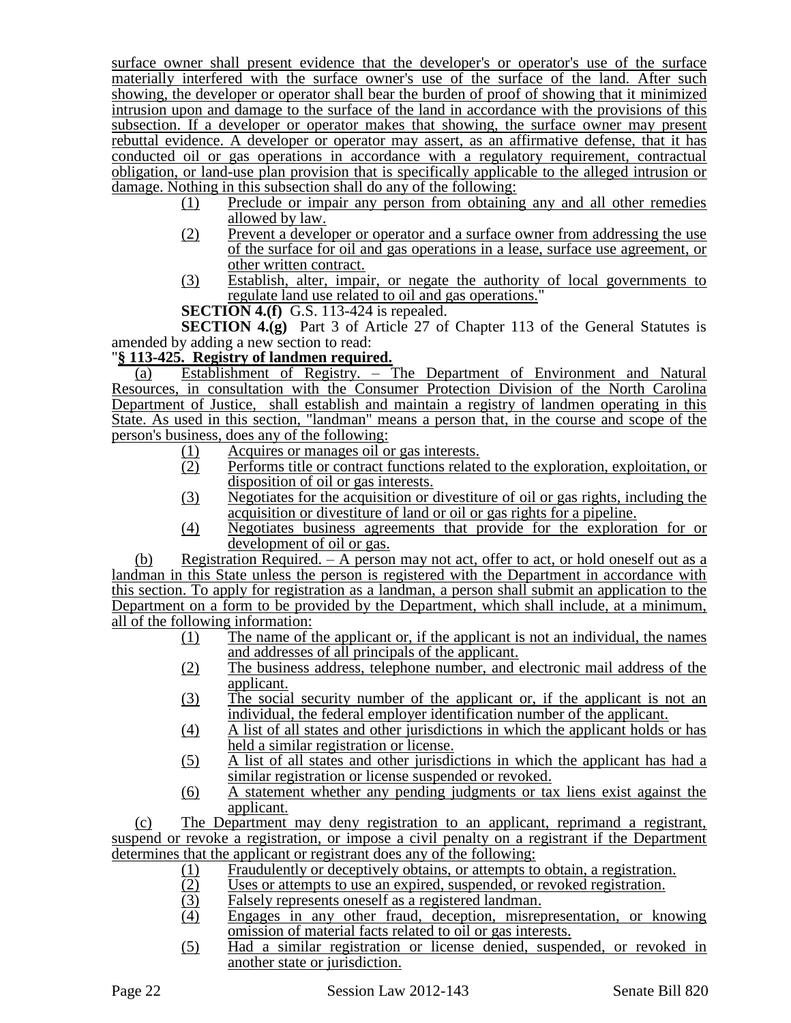surface owner shall present evidence that the developer's or operator's use of the surface materially interfered with the surface owner's use of the surface of the land. After such showing, the developer or operator shall bear the burden of proof of showing that it minimized intrusion upon and damage to the surface of the land in accordance with the provisions of this subsection. If a developer or operator makes that showing, the surface owner may present rebuttal evidence. A developer or operator may assert, as an affirmative defense, that it has conducted oil or gas operations in accordance with a regulatory requirement, contractual obligation, or land-use plan provision that is specifically applicable to the alleged intrusion or damage. Nothing in this subsection shall do any of the following:

- (1) Preclude or impair any person from obtaining any and all other remedies allowed by law.
- (2) Prevent a developer or operator and a surface owner from addressing the use of the surface for oil and gas operations in a lease, surface use agreement, or other written contract.
- (3) Establish, alter, impair, or negate the authority of local governments to regulate land use related to oil and gas operations."
- **SECTION 4.(f)** G.S. 113-424 is repealed.

**SECTION 4.(g)** Part 3 of Article 27 of Chapter 113 of the General Statutes is amended by adding a new section to read:

# "**§ 113-425. Registry of landmen required.**

(a) Establishment of Registry. – The Department of Environment and Natural Resources, in consultation with the Consumer Protection Division of the North Carolina Department of Justice, shall establish and maintain a registry of landmen operating in this State. As used in this section, "landman" means a person that, in the course and scope of the person's business, does any of the following:

- (1) Acquires or manages oil or gas interests.<br>(2) Performs title or contract functions relate
- Performs title or contract functions related to the exploration, exploitation, or disposition of oil or gas interests.
- (3) Negotiates for the acquisition or divestiture of oil or gas rights, including the acquisition or divestiture of land or oil or gas rights for a pipeline.
- (4) Negotiates business agreements that provide for the exploration for or development of oil or gas.

(b) Registration Required. – A person may not act, offer to act, or hold oneself out as a landman in this State unless the person is registered with the Department in accordance with this section. To apply for registration as a landman, a person shall submit an application to the Department on a form to be provided by the Department, which shall include, at a minimum, all of the following information:

- (1) The name of the applicant or, if the applicant is not an individual, the names and addresses of all principals of the applicant.
- (2) The business address, telephone number, and electronic mail address of the applicant.
- (3) The social security number of the applicant or, if the applicant is not an individual, the federal employer identification number of the applicant.
- (4) A list of all states and other jurisdictions in which the applicant holds or has held a similar registration or license.
- (5) A list of all states and other jurisdictions in which the applicant has had a similar registration or license suspended or revoked.
- (6) A statement whether any pending judgments or tax liens exist against the applicant.

(c) The Department may deny registration to an applicant, reprimand a registrant, suspend or revoke a registration, or impose a civil penalty on a registrant if the Department determines that the applicant or registrant does any of the following:

- (1) Fraudulently or deceptively obtains, or attempts to obtain, a registration.<br>(2) Uses or attempts to use an expired, suspended, or revoked registration.
- Uses or attempts to use an expired, suspended, or revoked registration.
- (3) Falsely represents oneself as a registered landman.<br>
(4) Engages in any other fraud, deception, misrep
- Engages in any other fraud, deception, misrepresentation, or knowing omission of material facts related to oil or gas interests.
- (5) Had a similar registration or license denied, suspended, or revoked in another state or jurisdiction.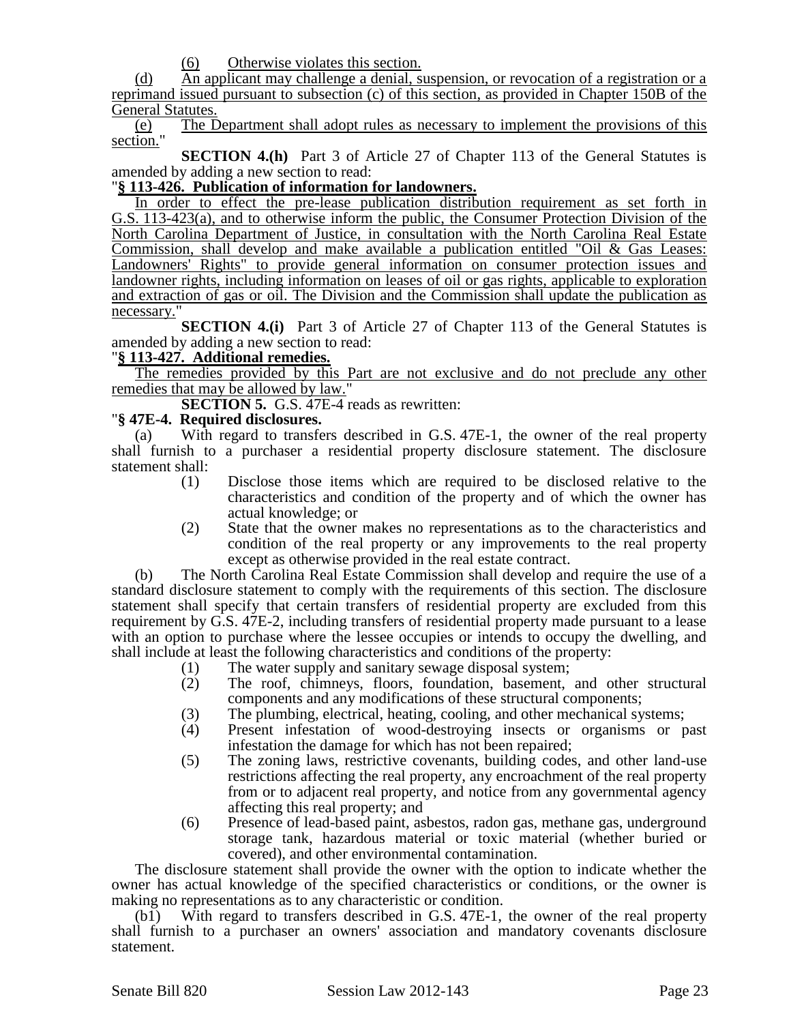(6) Otherwise violates this section.

(d) An applicant may challenge a denial, suspension, or revocation of a registration or a reprimand issued pursuant to subsection (c) of this section, as provided in Chapter 150B of the General Statutes.

(e) The Department shall adopt rules as necessary to implement the provisions of this section."

**SECTION 4.(h)** Part 3 of Article 27 of Chapter 113 of the General Statutes is amended by adding a new section to read:

#### "**§ 113-426. Publication of information for landowners.**

In order to effect the pre-lease publication distribution requirement as set forth in G.S. 113-423(a), and to otherwise inform the public, the Consumer Protection Division of the North Carolina Department of Justice, in consultation with the North Carolina Real Estate Commission, shall develop and make available a publication entitled "Oil & Gas Leases: Landowners' Rights" to provide general information on consumer protection issues and landowner rights, including information on leases of oil or gas rights, applicable to exploration and extraction of gas or oil. The Division and the Commission shall update the publication as necessary."

**SECTION 4.(i)** Part 3 of Article 27 of Chapter 113 of the General Statutes is amended by adding a new section to read:

### "**§ 113-427. Additional remedies.**

The remedies provided by this Part are not exclusive and do not preclude any other remedies that may be allowed by law."

**SECTION 5.** G.S. 47E-4 reads as rewritten:

#### "**§ 47E-4. Required disclosures.**

(a) With regard to transfers described in G.S. 47E-1, the owner of the real property shall furnish to a purchaser a residential property disclosure statement. The disclosure statement shall:

- (1) Disclose those items which are required to be disclosed relative to the characteristics and condition of the property and of which the owner has actual knowledge; or
- (2) State that the owner makes no representations as to the characteristics and condition of the real property or any improvements to the real property except as otherwise provided in the real estate contract.

(b) The North Carolina Real Estate Commission shall develop and require the use of a standard disclosure statement to comply with the requirements of this section. The disclosure statement shall specify that certain transfers of residential property are excluded from this requirement by G.S. 47E-2, including transfers of residential property made pursuant to a lease with an option to purchase where the lessee occupies or intends to occupy the dwelling, and shall include at least the following characteristics and conditions of the property:

- (1) The water supply and sanitary sewage disposal system;<br>(2) The roof, chimneys, floors, foundation, basement,
- The roof, chimneys, floors, foundation, basement, and other structural components and any modifications of these structural components;
- (3) The plumbing, electrical, heating, cooling, and other mechanical systems;
- (4) Present infestation of wood-destroying insects or organisms or past infestation the damage for which has not been repaired;
- (5) The zoning laws, restrictive covenants, building codes, and other land-use restrictions affecting the real property, any encroachment of the real property from or to adjacent real property, and notice from any governmental agency affecting this real property; and
- (6) Presence of lead-based paint, asbestos, radon gas, methane gas, underground storage tank, hazardous material or toxic material (whether buried or covered), and other environmental contamination.

The disclosure statement shall provide the owner with the option to indicate whether the owner has actual knowledge of the specified characteristics or conditions, or the owner is making no representations as to any characteristic or condition.

(b1) With regard to transfers described in G.S. 47E-1, the owner of the real property shall furnish to a purchaser an owners' association and mandatory covenants disclosure statement.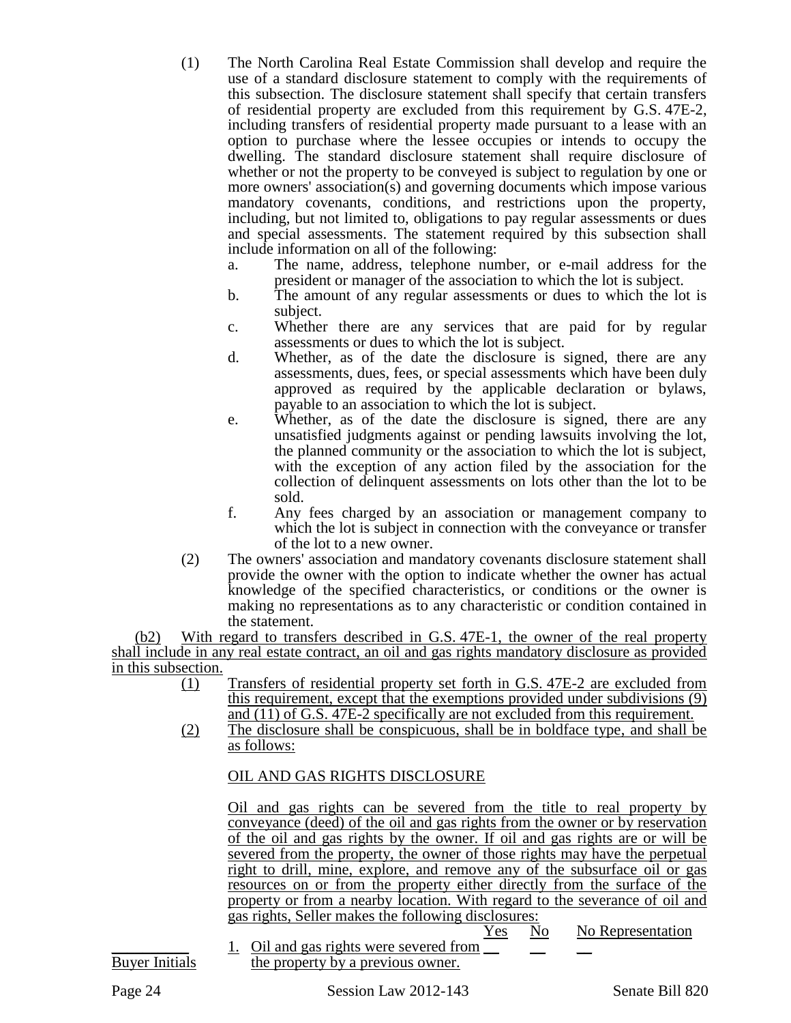- (1) The North Carolina Real Estate Commission shall develop and require the use of a standard disclosure statement to comply with the requirements of this subsection. The disclosure statement shall specify that certain transfers of residential property are excluded from this requirement by G.S. 47E-2, including transfers of residential property made pursuant to a lease with an option to purchase where the lessee occupies or intends to occupy the dwelling. The standard disclosure statement shall require disclosure of whether or not the property to be conveyed is subject to regulation by one or more owners' association(s) and governing documents which impose various mandatory covenants, conditions, and restrictions upon the property, including, but not limited to, obligations to pay regular assessments or dues and special assessments. The statement required by this subsection shall include information on all of the following:
	- a. The name, address, telephone number, or e-mail address for the president or manager of the association to which the lot is subject.
	- b. The amount of any regular assessments or dues to which the lot is subject.
	- c. Whether there are any services that are paid for by regular assessments or dues to which the lot is subject.
	- d. Whether, as of the date the disclosure is signed, there are any assessments, dues, fees, or special assessments which have been duly approved as required by the applicable declaration or bylaws, payable to an association to which the lot is subject.
	- e. Whether, as of the date the disclosure is signed, there are any unsatisfied judgments against or pending lawsuits involving the lot, the planned community or the association to which the lot is subject, with the exception of any action filed by the association for the collection of delinquent assessments on lots other than the lot to be sold.
	- f. Any fees charged by an association or management company to which the lot is subject in connection with the conveyance or transfer of the lot to a new owner.
- (2) The owners' association and mandatory covenants disclosure statement shall provide the owner with the option to indicate whether the owner has actual knowledge of the specified characteristics, or conditions or the owner is making no representations as to any characteristic or condition contained in the statement.

(b2) With regard to transfers described in G.S. 47E-1, the owner of the real property shall include in any real estate contract, an oil and gas rights mandatory disclosure as provided in this subsection.

- (1) Transfers of residential property set forth in G.S. 47E-2 are excluded from this requirement, except that the exemptions provided under subdivisions (9) and (11) of G.S. 47E-2 specifically are not excluded from this requirement.
- (2) The disclosure shall be conspicuous, shall be in boldface type, and shall be as follows:

# OIL AND GAS RIGHTS DISCLOSURE

Oil and gas rights can be severed from the title to real property by conveyance (deed) of the oil and gas rights from the owner or by reservation of the oil and gas rights by the owner. If oil and gas rights are or will be severed from the property, the owner of those rights may have the perpetual right to drill, mine, explore, and remove any of the subsurface oil or gas resources on or from the property either directly from the surface of the property or from a nearby location. With regard to the severance of oil and gas rights, Seller makes the following disclosures:

<u>Yes No No Representation</u>

1. Oil and gas rights were severed from  $\Box$ Buyer Initials the property by a previous owner.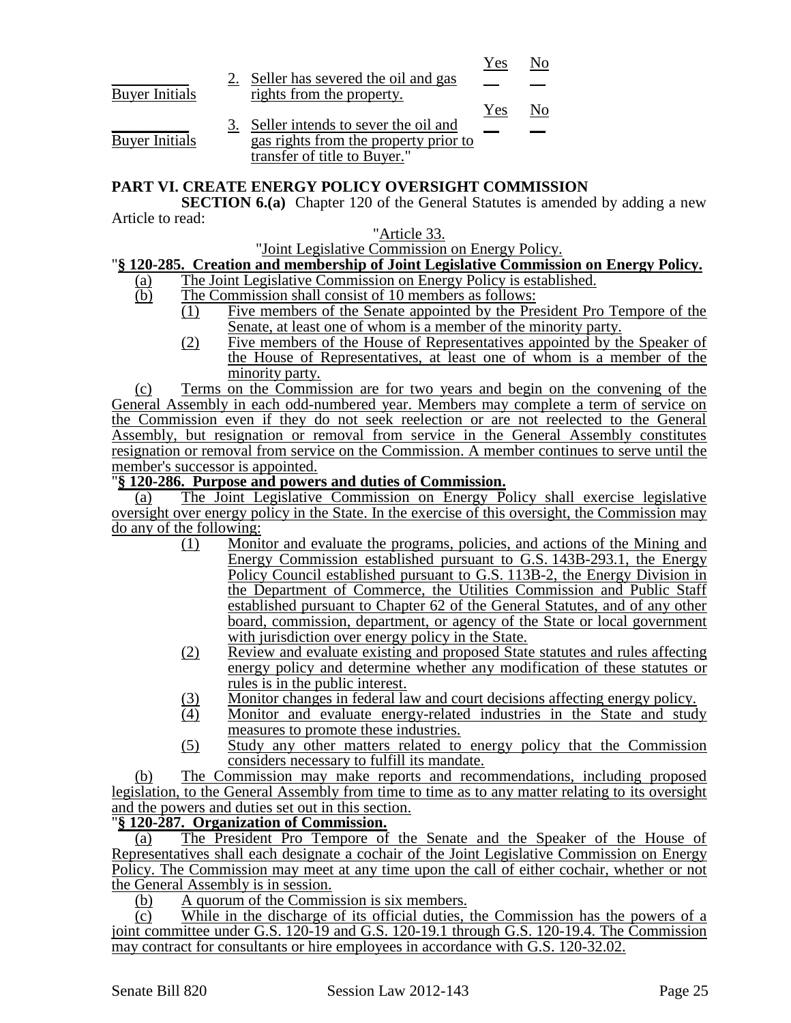|                       |                                       | Yes |  |
|-----------------------|---------------------------------------|-----|--|
|                       | Seller has severed the oil and gas    |     |  |
| <b>Buyer Initials</b> | rights from the property.             |     |  |
|                       |                                       | Yes |  |
|                       | Seller intends to sever the oil and   |     |  |
| <b>Buyer Initials</b> | gas rights from the property prior to |     |  |
|                       | transfer of title to Buyer."          |     |  |

### **PART VI. CREATE ENERGY POLICY OVERSIGHT COMMISSION**

**SECTION 6.(a)** Chapter 120 of the General Statutes is amended by adding a new Article to read:

#### "Article 33.

"Joint Legislative Commission on Energy Policy.

### "**§ 120-285. Creation and membership of Joint Legislative Commission on Energy Policy.**

- (a) The Joint Legislative Commission on Energy Policy is established.
- (b) The Commission shall consist of 10 members as follows:
	- (1) Five members of the Senate appointed by the President Pro Tempore of the Senate, at least one of whom is a member of the minority party.
		- (2) Five members of the House of Representatives appointed by the Speaker of the House of Representatives, at least one of whom is a member of the minority party.

(c) Terms on the Commission are for two years and begin on the convening of the General Assembly in each odd-numbered year. Members may complete a term of service on the Commission even if they do not seek reelection or are not reelected to the General Assembly, but resignation or removal from service in the General Assembly constitutes resignation or removal from service on the Commission. A member continues to serve until the member's successor is appointed.

#### "**§ 120-286. Purpose and powers and duties of Commission.**

(a) The Joint Legislative Commission on Energy Policy shall exercise legislative oversight over energy policy in the State. In the exercise of this oversight, the Commission may do any of the following:

- (1) Monitor and evaluate the programs, policies, and actions of the Mining and Energy Commission established pursuant to G.S. 143B-293.1, the Energy Policy Council established pursuant to G.S. 113B-2, the Energy Division in the Department of Commerce, the Utilities Commission and Public Staff established pursuant to Chapter 62 of the General Statutes, and of any other board, commission, department, or agency of the State or local government with jurisdiction over energy policy in the State.
- (2) Review and evaluate existing and proposed State statutes and rules affecting energy policy and determine whether any modification of these statutes or rules is in the public interest.
- (3) Monitor changes in federal law and court decisions affecting energy policy.<br>
(4) Monitor and evaluate energy-related industries in the State and stud
- Monitor and evaluate energy-related industries in the State and study measures to promote these industries.
- (5) Study any other matters related to energy policy that the Commission considers necessary to fulfill its mandate.

(b) The Commission may make reports and recommendations, including proposed legislation, to the General Assembly from time to time as to any matter relating to its oversight and the powers and duties set out in this section.

# "**§ 120-287. Organization of Commission.**

(a) The President Pro Tempore of the Senate and the Speaker of the House of Representatives shall each designate a cochair of the Joint Legislative Commission on Energy Policy. The Commission may meet at any time upon the call of either cochair, whether or not the General Assembly is in session.

(b) A quorum of the Commission is six members.

(c) While in the discharge of its official duties, the Commission has the powers of a joint committee under G.S. 120-19 and G.S. 120-19.1 through G.S. 120-19.4. The Commission may contract for consultants or hire employees in accordance with G.S. 120-32.02.